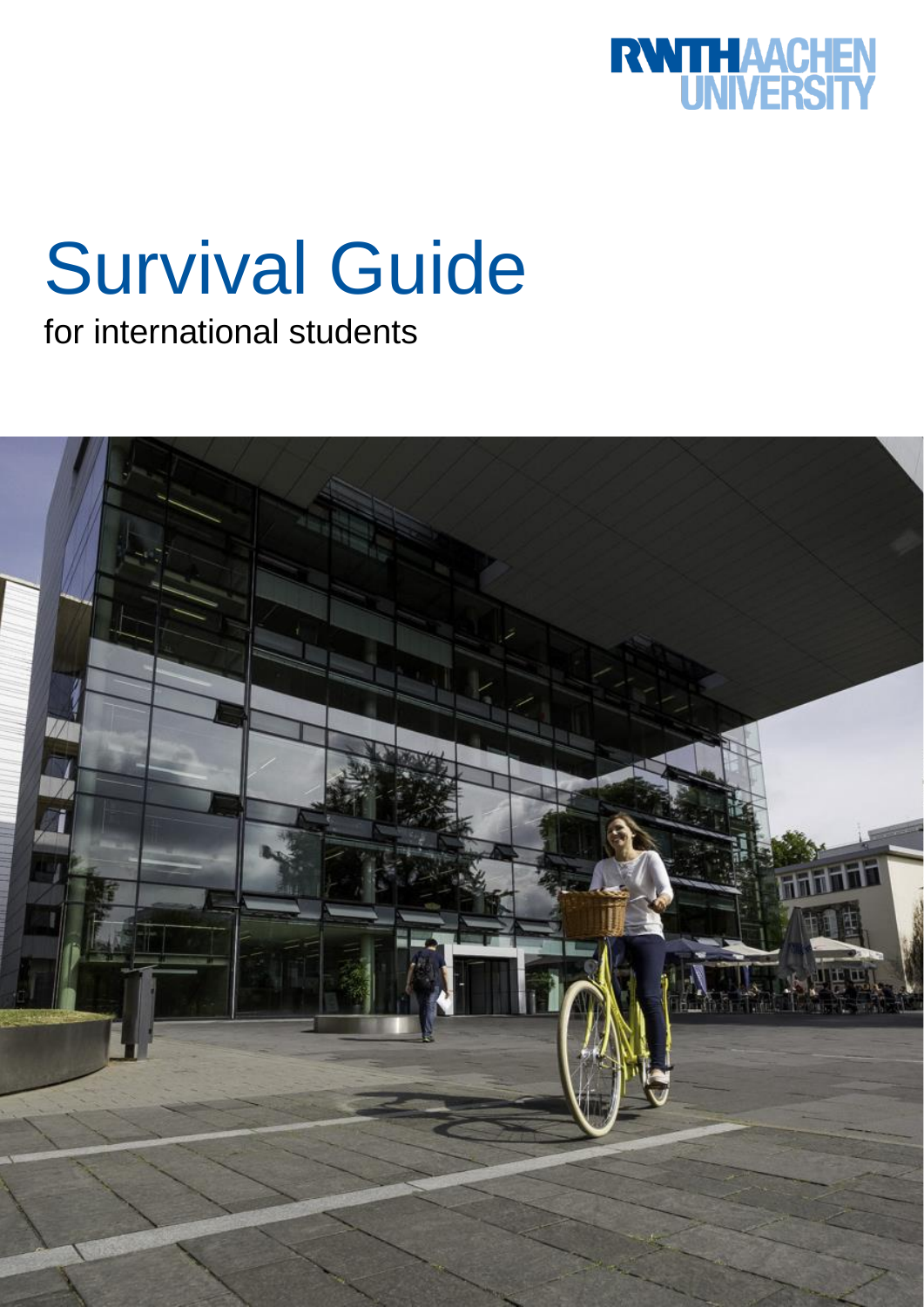

# Survival Guide

for international students

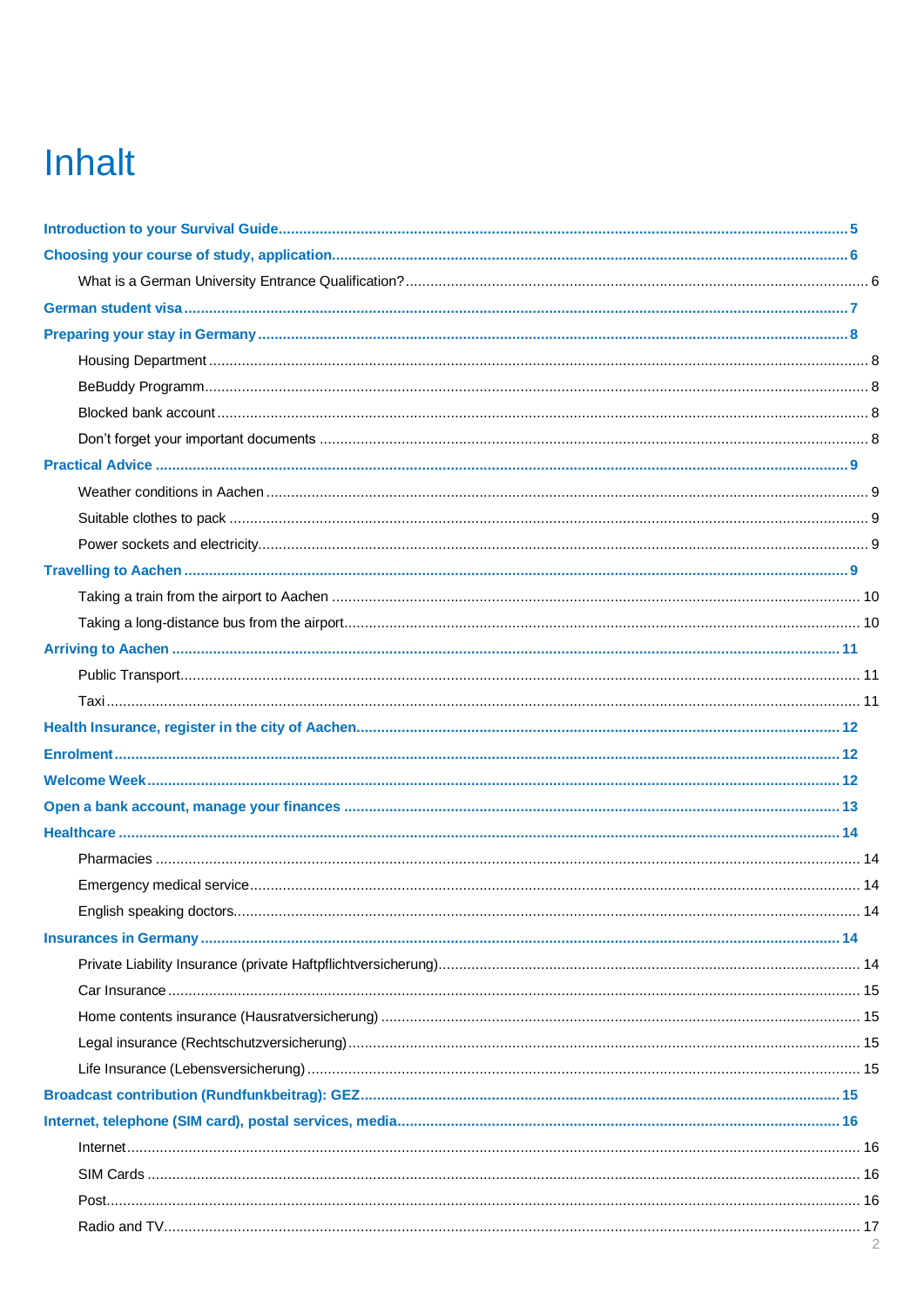# **Inhalt**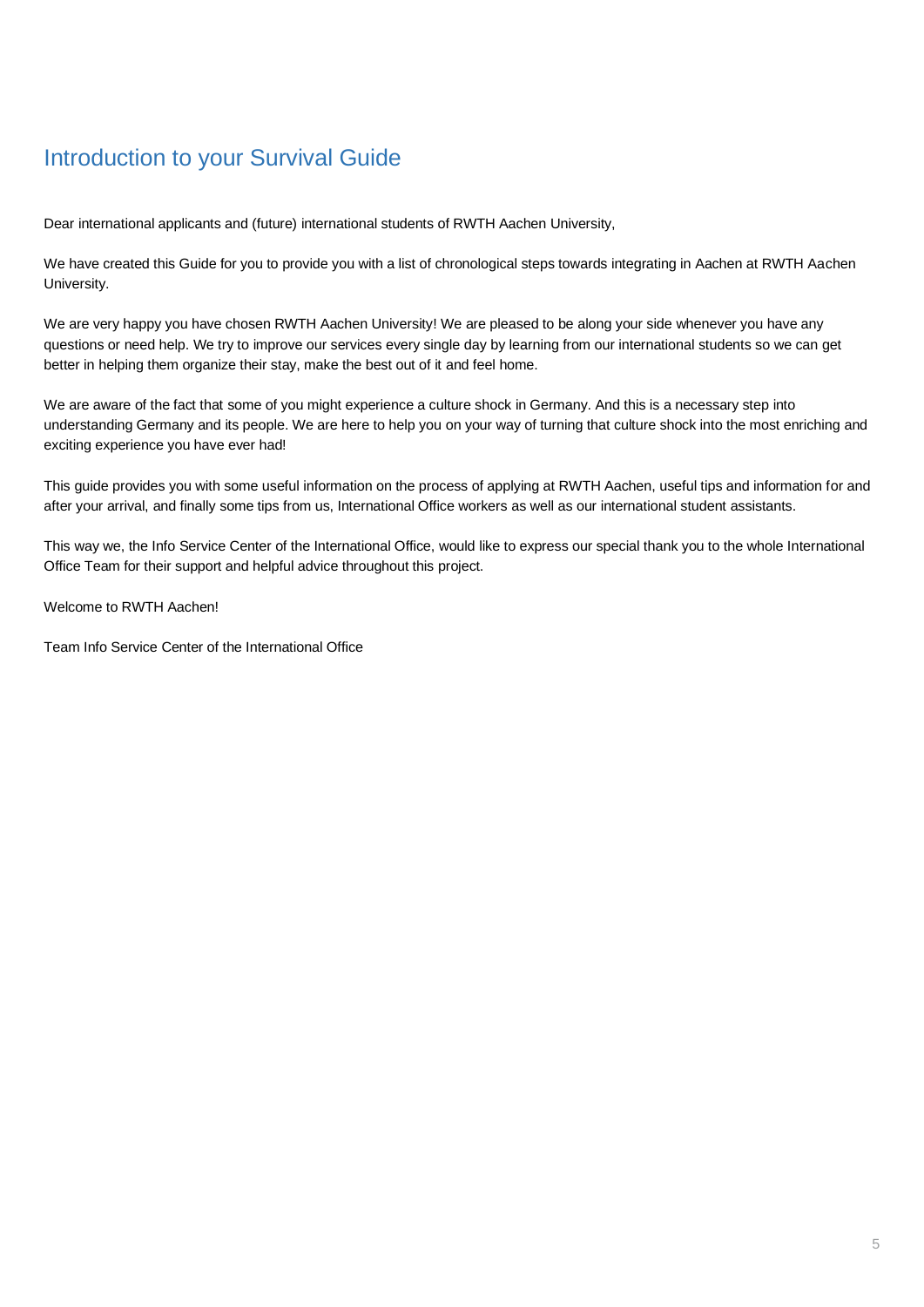# <span id="page-4-0"></span>Introduction to your Survival Guide

Dear international applicants and (future) international students of RWTH Aachen University,

We have created this Guide for you to provide you with a list of chronological steps towards integrating in Aachen at RWTH Aachen University.

We are very happy you have chosen RWTH Aachen University! We are pleased to be along your side whenever you have any questions or need help. We try to improve our services every single day by learning from our international students so we can get better in helping them organize their stay, make the best out of it and feel home.

We are aware of the fact that some of you might experience a culture shock in Germany. And this is a necessary step into understanding Germany and its people. We are here to help you on your way of turning that culture shock into the most enriching and exciting experience you have ever had!

This guide provides you with some useful information on the process of applying at RWTH Aachen, useful tips and information for and after your arrival, and finally some tips from us, International Office workers as well as our international student assistants.

This way we, the Info Service Center of the International Office, would like to express our special thank you to the whole International Office Team for their support and helpful advice throughout this project.

Welcome to RWTH Aachen!

Team Info Service Center of the International Office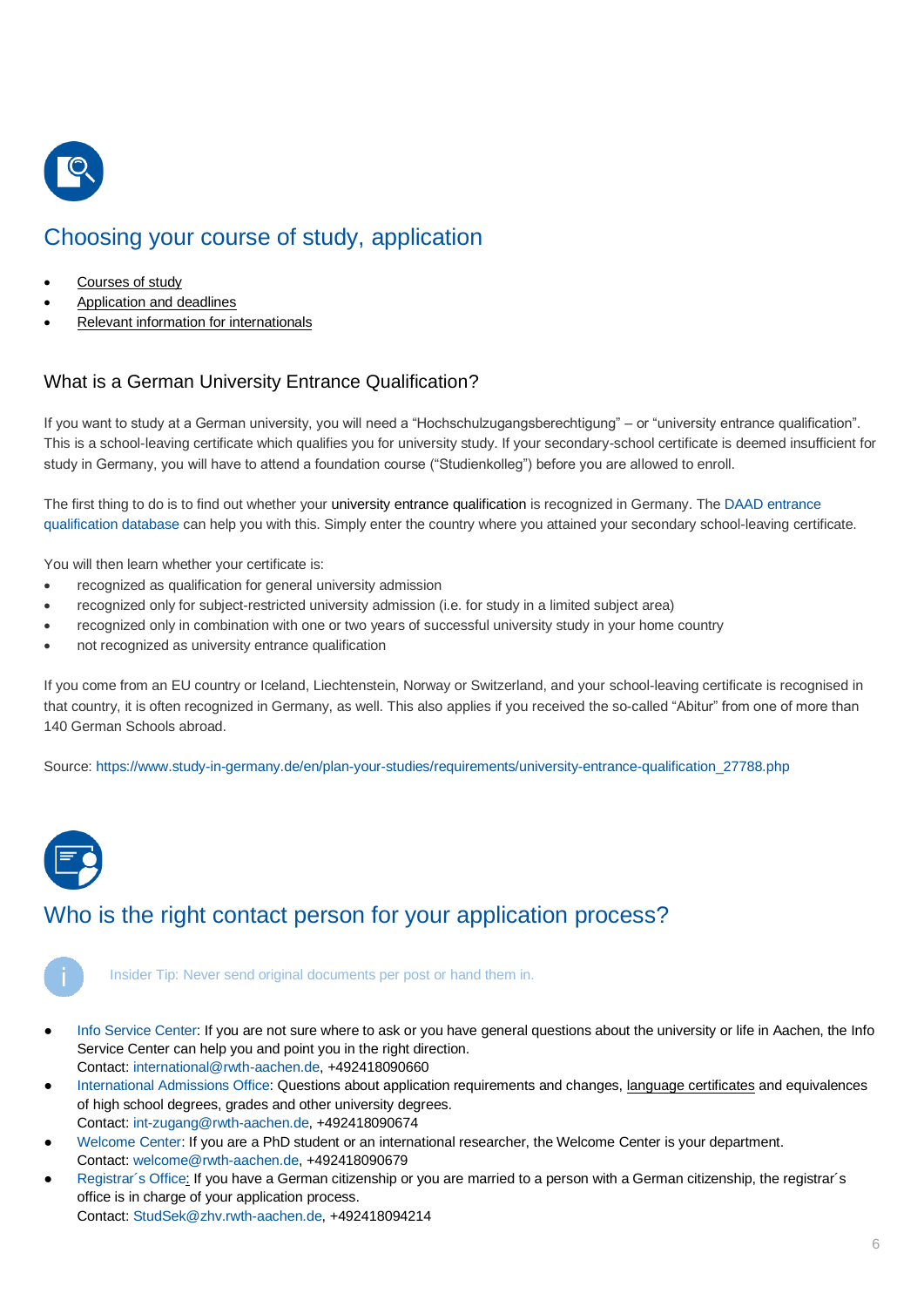

# <span id="page-5-0"></span>Choosing your course of study, application

- [Courses of study](about:blank)
- [Application and deadlines](about:blank)
- [Relevant information for internationals](about:blank)

# <span id="page-5-1"></span>What is a German University Entrance Qualification?

If you want to study at a German university, you will need a "Hochschulzugangsberechtigung" – or "university entrance qualification". This is a school-leaving certificate which qualifies you for university study. If your secondary-school certificate is deemed insufficient for study in Germany, you will have to attend a foundation course ("Studienkolleg") before you are allowed to enroll.

The first thing to do is to find out whether your university entrance qualification is recognized in Germany. The [DAAD entrance](https://www2.daad.de/deutschland/nach-deutschland/voraussetzungen/en/57293-daad-database-on-admission-requirements/)  [qualification database](https://www2.daad.de/deutschland/nach-deutschland/voraussetzungen/en/57293-daad-database-on-admission-requirements/) can help you with this. Simply enter the country where you attained your secondary school-leaving certificate.

You will then learn whether your certificate is:

- recognized as qualification for general university admission
- recognized only for subject-restricted university admission (i.e. for study in a limited subject area)
- recognized only in combination with one or two years of successful university study in your home country
- not recognized as university entrance qualification

If you come from an EU country or Iceland, Liechtenstein, Norway or Switzerland, and your school-leaving certificate is recognised in that country, it is often recognized in Germany, as well. This also applies if you received the so-called "Abitur" from one of more than 140 German Schools abroad.

Source: [https://www.study-in-germany.de/en/plan-your-studies/requirements/university-entrance-qualification\\_27788.php](https://www.study-in-germany.de/en/plan-your-studies/requirements/university-entrance-qualification_27788.php)



# Who is the right contact person for your application process?

Insider Tip: Never send original documents per post or hand them in.

- [Info Service Center:](http://www.rwth-aachen.de/cms/root/Die-RWTH/Einrichtungen/Verwaltung/Dezernate/Internationale-Hochschulbeziehungen/Abteilung-2-2-Betreuung/~rdc/Info-Service-Center-International-Offi/) If you are not sure where to ask or you have general questions about the university or life in Aachen, the Info Service Center can help you and point you in the right direction. Contact[: international@rwth-aachen.de,](mailto:international@rwth-aachen.de) +492418090660
- [International Admissions Office:](http://www.rwth-aachen.de/cms/root/Die-RWTH/Einrichtungen/Verwaltung/Dezernate/Internationale-Hochschulbeziehungen/~rcx/Abteilung-2-1-Zugang-und-Soziales/) Questions about application requirements and changes, [language certificates](http://www.rwth-aachen.de/cms/root/Studium/Vor-dem-Studium/Zugangsvoraussetzungen/~zwyn/Sprachkenntnisse/?lidx=1) and equivalences of high school degrees, grades and other university degrees.
	- Contact[: int-zugang@rwth-aachen.de,](mailto:int-zugang@rwth-aachen.de) +492418090674
- [Welcome Center:](http://www.rwth-aachen.de/cms/root/Forschung/Angebote-fuer-Forschende/Die-RWTH-heisst-Sie-willkommen/~opt/Welcome-Center-fuer-Internationale-Forsc/) If you are a PhD student or an international researcher, the Welcome Center is your department. Contact[: welcome@rwth-aachen.de,](mailto:welcome@rwth-aachen.de) +492418090679
- [Registrar´s Office:](http://www.rwth-aachen.de/cms/root/Die-RWTH/Einrichtungen/Verwaltung/Dezernate/Akademische-und-studentische-Angelegenhe/Abteilung-1-2-Studentische-Angelegenhe/~ciss/Studierendensekretariat/?allou=1) If you have a German citizenship or you are married to a person with a German citizenship, the registrar's office is in charge of your application process.

Contact[: StudSek@zhv.rwth-aachen.de,](mailto:StudSek@zhv.rwth-aachen.de) +492418094214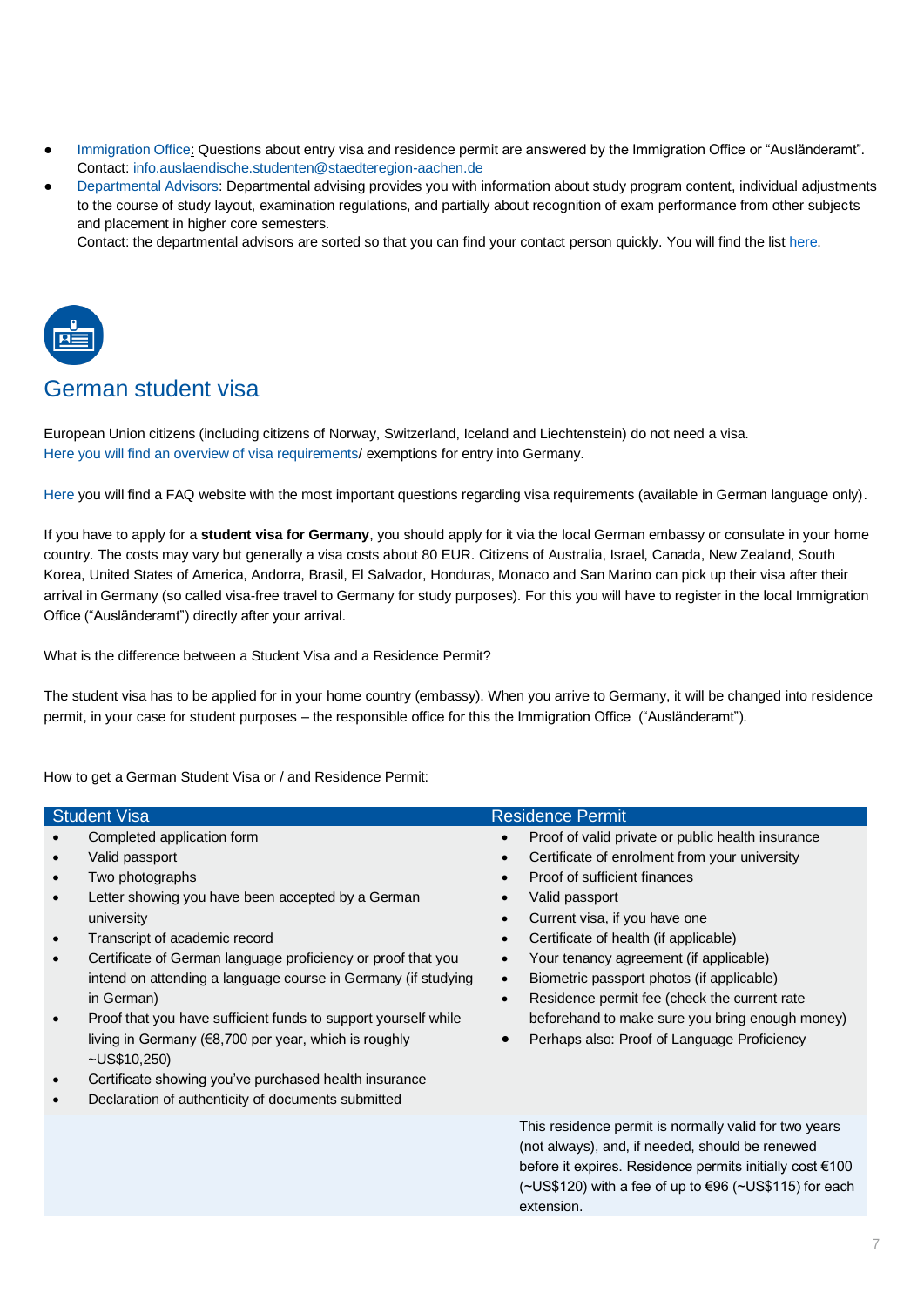- [Immigration Office:](https://www.staedteregion-aachen.de/en/navigation/staedteregion-aachen/) Questions about entry visa and residence permit are answered by the Immigration Office or "Ausländeramt". Contact: info.auslaendische.studenten@staedteregion-aachen.de
- [Departmental Advisors:](http://www.rwth-aachen.de/cms/root/Studium/Beratung-Hilfe/~tmy/Fachstudienberatungen/?lidx=1) Departmental advising provides you with information about study program content, individual adjustments to the course of study layout, examination regulations, and partially about recognition of exam performance from other subjects and placement in higher core semesters.

Contact: the departmental advisors are sorted so that you can find your contact person quickly. You will find the lis[t here.](https://www.rwth-aachen.de/cms/root/Studium/Beratung-Hilfe/~tmy/Fachstudienberatungen/?lidx=1)



# <span id="page-6-0"></span>German student visa

European Union citizens (including citizens of Norway, Switzerland, Iceland and Liechtenstein) do not need a visa. [Here you will find an overview of visa requirements/](https://www.auswaertiges-amt.de/en/einreiseundaufenthalt/-/231148) exemptions for entry into Germany.

[Here](https://www.auswaertiges-amt.de/de/service/fragenkatalog-node/-/606772?openAccordionId=item-606774-3-panel) you will find a FAQ website with the most important questions regarding visa requirements (available in German language only).

If you have to apply for a **student visa for Germany**, you should apply for it via the local German embassy or consulate in your home country. The costs may vary but generally a visa costs about 80 EUR. Citizens of Australia, Israel, Canada, New Zealand, South Korea, United States of America, Andorra, Brasil, El Salvador, Honduras, Monaco and San Marino can pick up their visa after their arrival in Germany (so called visa-free travel to Germany for study purposes). For this you will have to register in the local Immigration Office ("Ausländeramt") directly after your arrival.

What is the difference between a Student Visa and a Residence Permit?

The student visa has to be applied for in your home country (embassy). When you arrive to Germany, it will be changed into residence permit, in your case for student purposes – the responsible office for this the Immigration Office ("Ausländeramt").

How to get a German Student Visa or / and Residence Permit:

| <b>Student Visa</b>                                                                                                                                                                                                                                                                                                                                                                                                                                                                                                                                                                                                                                                    | <b>Residence Permit</b>                                                                                                                                                                                                                                                                                                                                                                                                                                                              |
|------------------------------------------------------------------------------------------------------------------------------------------------------------------------------------------------------------------------------------------------------------------------------------------------------------------------------------------------------------------------------------------------------------------------------------------------------------------------------------------------------------------------------------------------------------------------------------------------------------------------------------------------------------------------|--------------------------------------------------------------------------------------------------------------------------------------------------------------------------------------------------------------------------------------------------------------------------------------------------------------------------------------------------------------------------------------------------------------------------------------------------------------------------------------|
| Completed application form<br>Valid passport<br>Two photographs<br>$\bullet$<br>Letter showing you have been accepted by a German<br>$\bullet$<br>university<br>Transcript of academic record<br>$\bullet$<br>Certificate of German language proficiency or proof that you<br>$\bullet$<br>intend on attending a language course in Germany (if studying<br>in German)<br>Proof that you have sufficient funds to support yourself while<br>$\bullet$<br>living in Germany (€8,700 per year, which is roughly<br>$-US$10,250$<br>Certificate showing you've purchased health insurance<br>$\bullet$<br>Declaration of authenticity of documents submitted<br>$\bullet$ | Proof of valid private or public health insurance<br>Certificate of enrolment from your university<br>Proof of sufficient finances<br>Valid passport<br>Current visa, if you have one<br>Certificate of health (if applicable)<br>Your tenancy agreement (if applicable)<br>Biometric passport photos (if applicable)<br>Residence permit fee (check the current rate<br>$\bullet$<br>beforehand to make sure you bring enough money)<br>Perhaps also: Proof of Language Proficiency |
|                                                                                                                                                                                                                                                                                                                                                                                                                                                                                                                                                                                                                                                                        | This residence permit is normally valid for two years<br>(not always), and, if needed, should be renewed<br>before it expires. Residence permits initially cost €100<br>$(\sim USS120)$ with a fee of up to $\in$ 96 ( $\sim$ US\$115) for each<br>extension.                                                                                                                                                                                                                        |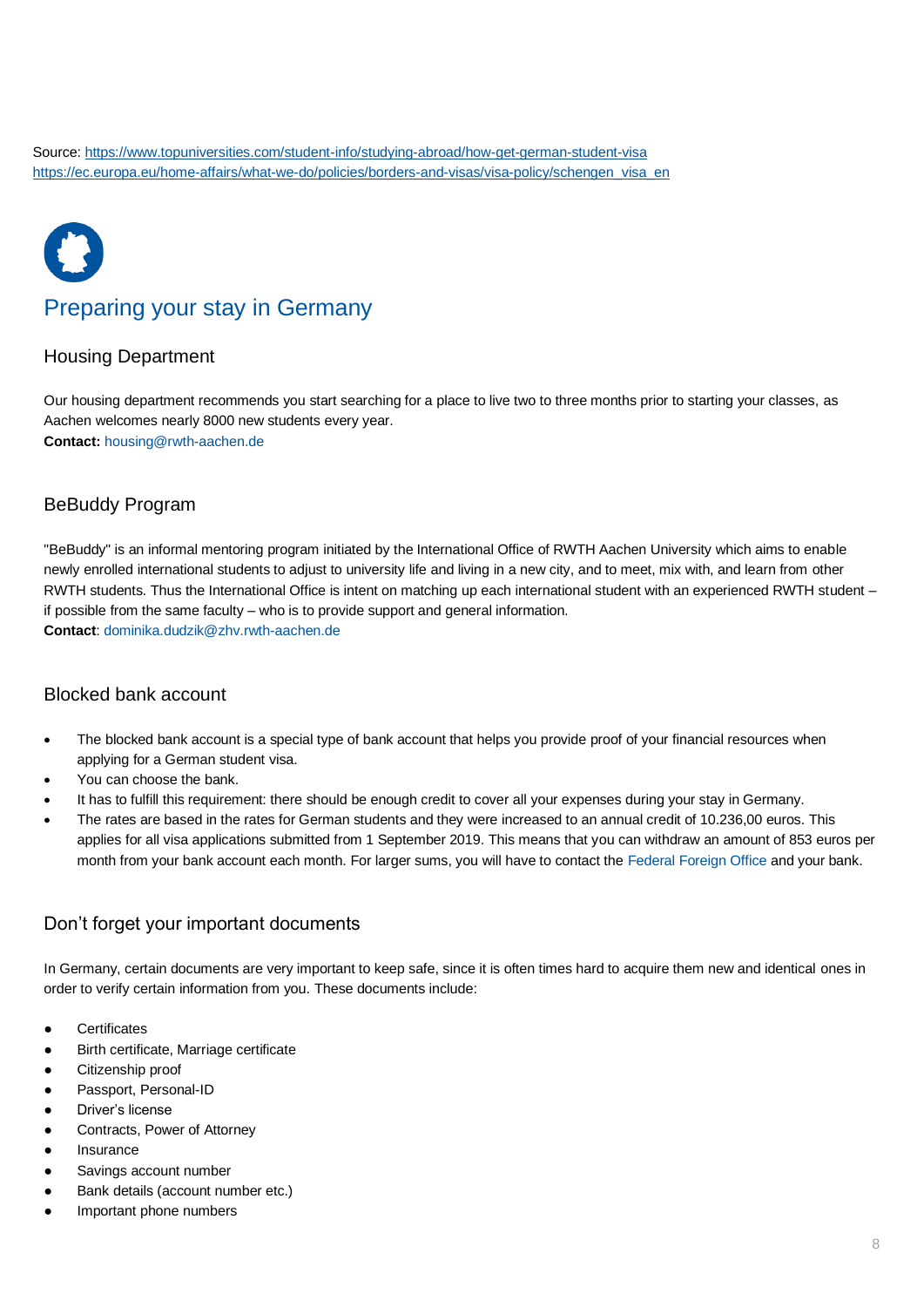# Preparing your stay in Germany

# <span id="page-7-1"></span><span id="page-7-0"></span>[Housing Department](http://www.rwth-aachen.de/go/id/goxt/lidx/1)

Our housing department recommends you start searching for a place to live two to three months prior to starting your classes, as Aachen welcomes nearly 8000 new students every year. **Contact:** [housing@rwth-aachen.de](mailto:housing@rwth-aachen.de)

# <span id="page-7-2"></span>[BeBuddy Program](http://www.rwth-aachen.de/cms/root/Studium/Im-Studium/Engagement-Freizeit/~bpei/BeBuddy/)

"BeBuddy" is an informal mentoring program initiated by the International Office of RWTH Aachen University which aims to enable newly enrolled international students to adjust to university life and living in a new city, and to meet, mix with, and learn from other RWTH students. Thus the International Office is intent on matching up each international student with an experienced RWTH student – if possible from the same faculty – who is to provide support and general information. **Contact**: dominika.dudzik@zhv.rwth-aachen.de

<span id="page-7-3"></span>Blocked bank account

- The blocked bank account is a special type of bank account that helps you provide proof of your financial resources when applying for a German student visa.
- You can choose the bank.
- It has to fulfill this requirement: there should be enough credit to cover all your expenses during your stay in Germany.
- The rates are based in the rates for German students and they were increased to an annual credit of 10.236,00 euros. This applies for all visa applications submitted from 1 September 2019. This means that you can withdraw an amount of 853 euros per month from your bank account each month. For larger sums, you will have to contact the [Federal Foreign Office](https://www.auswaertiges-amt.de/en/einreiseundaufenthalt/02-lernen-und-arbeiten/sperrkonto-seite) and your bank.

# <span id="page-7-4"></span>Don't forget your important documents

In Germany, certain documents are very important to keep safe, since it is often times hard to acquire them new and identical ones in order to verify certain information from you. These documents include:

- **Certificates**
- Birth certificate, Marriage certificate
- Citizenship proof
- Passport, Personal-ID
- Driver's license
- Contracts, Power of Attorney
- **Insurance**
- Savings account number
- Bank details (account number etc.)
- Important phone numbers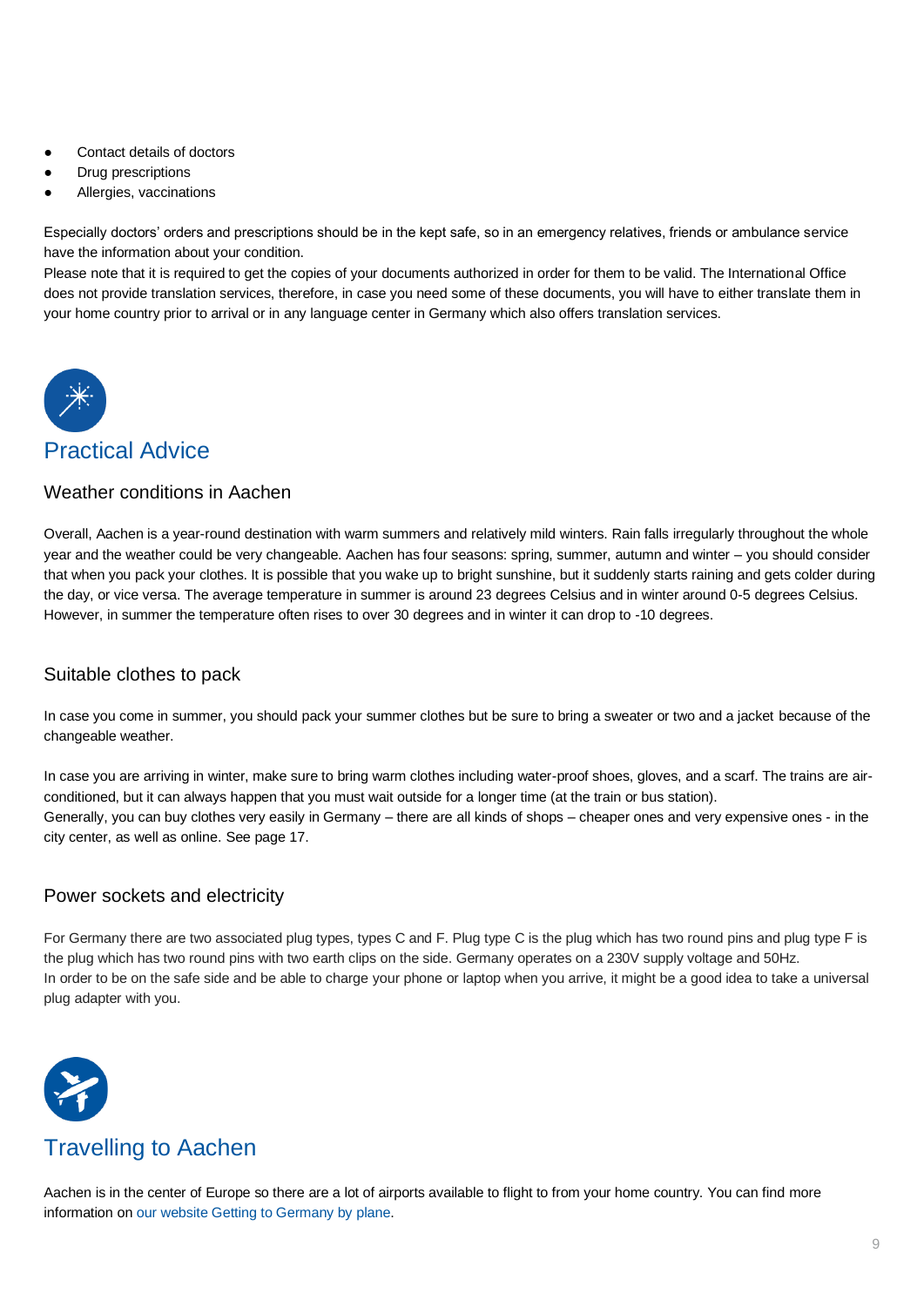- Contact details of doctors
- **Drug prescriptions**
- Allergies, vaccinations

Especially doctors' orders and prescriptions should be in the kept safe, so in an emergency relatives, friends or ambulance service have the information about your condition.

Please note that it is required to get the copies of your documents authorized in order for them to be valid. The International Office does not provide translation services, therefore, in case you need some of these documents, you will have to either translate them in your home country prior to arrival or in any language center in Germany which also offers translation services.



# <span id="page-8-0"></span>Practical Advice

## <span id="page-8-1"></span>Weather conditions in Aachen

Overall, Aachen is a year-round destination with warm summers and relatively mild winters. Rain falls irregularly throughout the whole year and the weather could be very changeable. Aachen has four seasons: spring, summer, autumn and winter – you should consider that when you pack your clothes. It is possible that you wake up to bright sunshine, but it suddenly starts raining and gets colder during the day, or vice versa. The average temperature in summer is around 23 degrees Celsius and in winter around 0-5 degrees Celsius. However, in summer the temperature often rises to over 30 degrees and in winter it can drop to -10 degrees.

# <span id="page-8-2"></span>Suitable clothes to pack

In case you come in summer, you should pack your summer clothes but be sure to bring a sweater or two and a jacket because of the changeable weather.

In case you are arriving in winter, make sure to bring warm clothes including water-proof shoes, gloves, and a scarf. The trains are airconditioned, but it can always happen that you must wait outside for a longer time (at the train or bus station). Generally, you can buy clothes very easily in Germany – there are all kinds of shops – cheaper ones and very expensive ones - in the city center, as well as online. See page 17.

# <span id="page-8-3"></span>Power sockets and electricity

For Germany there are two associated plug types, types C and F. Plug type C is the plug which has two round pins and plug type F is the plug which has two round pins with two earth clips on the side. Germany operates on a 230V supply voltage and 50Hz. In order to be on the safe side and be able to charge your phone or laptop when you arrive, it might be a good idea to take a universal plug adapter with you.



# <span id="page-8-4"></span>Travelling to Aachen

Aachen is in the center of Europe so there are a lot of airports available to flight to from your home country. You can find more information on our website [Getting to Germany](https://www.rwth-aachen.de/go/id/bppk/lidx/1) by plane.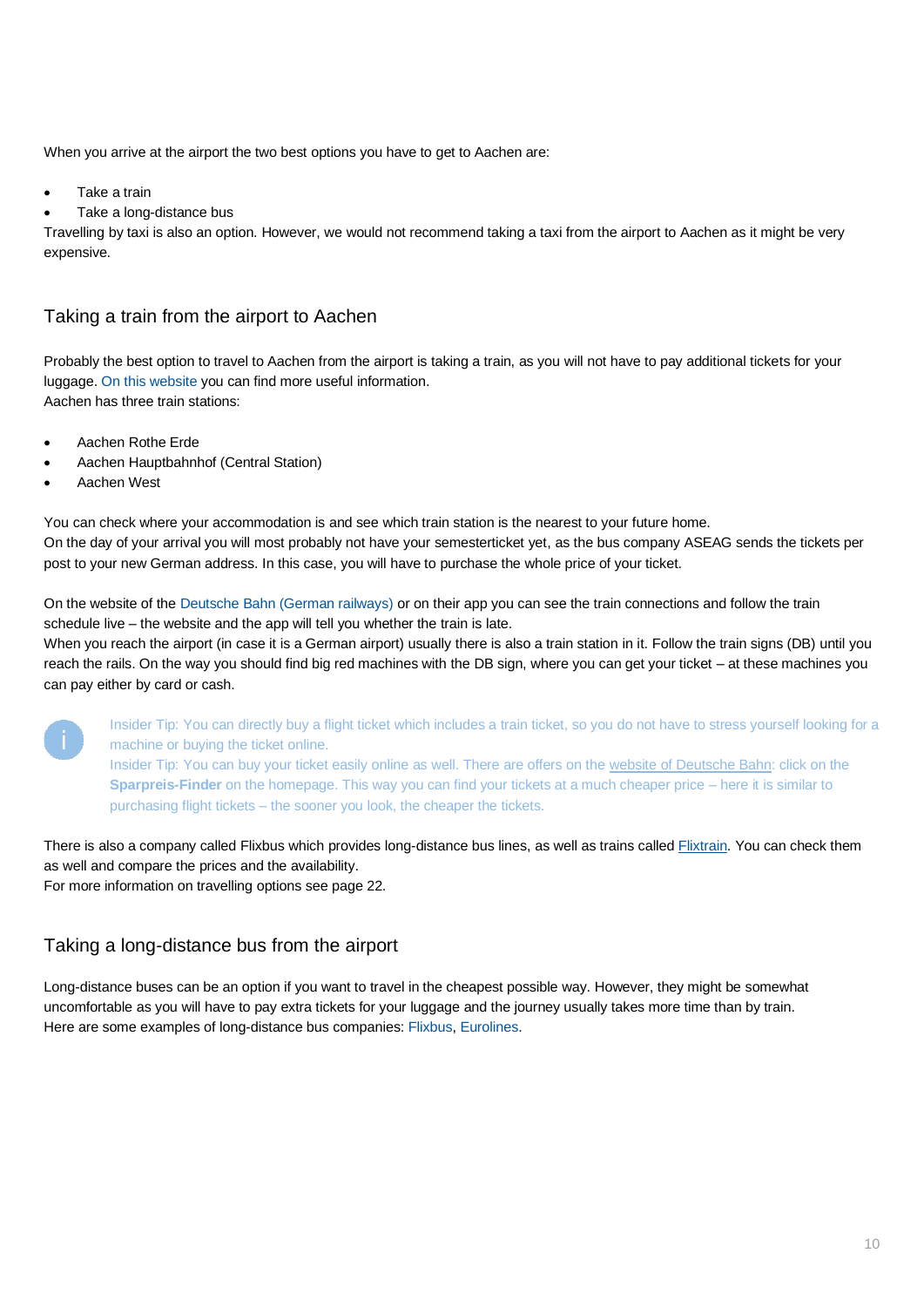When you arrive at the airport the two best options you have to get to Aachen are:

- Take a train
- Take a long-distance bus

Travelling by taxi is also an option. However, we would not recommend taking a taxi from the airport to Aachen as it might be very expensive.

# <span id="page-9-0"></span>Taking a train from the airport to Aachen

Probably the best option to travel to Aachen from the airport is taking a train, as you will not have to pay additional tickets for your luggage[. On this website](https://www.rwth-aachen.de/cms/root/Die-RWTH/Mobilitaet/~jgtm/Erreichbarkeit/lidx/1/) you can find more useful information. Aachen has three train stations:

- Aachen Rothe Erde
- Aachen Hauptbahnhof (Central Station)
- Aachen West

You can check where your accommodation is and see which train station is the nearest to your future home. On the day of your arrival you will most probably not have your semesterticket yet, as the bus company ASEAG sends the tickets per post to your new German address. In this case, you will have to purchase the whole price of your ticket.

On the website of the [Deutsche Bahn \(German railways\)](https://www.bahn.de/p/view/index.shtml) or on their app you can see the train connections and follow the train schedule live – the website and the app will tell you whether the train is late.

When you reach the airport (in case it is a German airport) usually there is also a train station in it. Follow the train signs (DB) until you reach the rails. On the way you should find big red machines with the DB sign, where you can get your ticket – at these machines you can pay either by card or cash.



Insider Tip: You can directly buy a flight ticket which includes a train ticket, so you do not have to stress yourself looking for a machine or buying the ticket online. Insider Tip: You can buy your ticket easily online as well. There are offers on th[e website of Deutsche Bahn:](https://www.bahn.de/p/view/index.shtml) click on the **Sparpreis-Finder** on the homepage. This way you can find your tickets at a much cheaper price – here it is similar to

purchasing flight tickets – the sooner you look, the cheaper the tickets.

There is also a company called Flixbus which provides long-distance bus lines, as well as trains called [Flixtrain.](https://www.flixtrain.de/) You can check them as well and compare the prices and the availability.

For more information on travelling options see page 22.

# <span id="page-9-1"></span>Taking a long-distance bus from the airport

Long-distance buses can be an option if you want to travel in the cheapest possible way. However, they might be somewhat uncomfortable as you will have to pay extra tickets for your luggage and the journey usually takes more time than by train. Here are some examples of long-distance bus companies: [Flixbus,](https://www.flixbus.de/) [Eurolines.](https://www.eurolines.de/de/startseite/)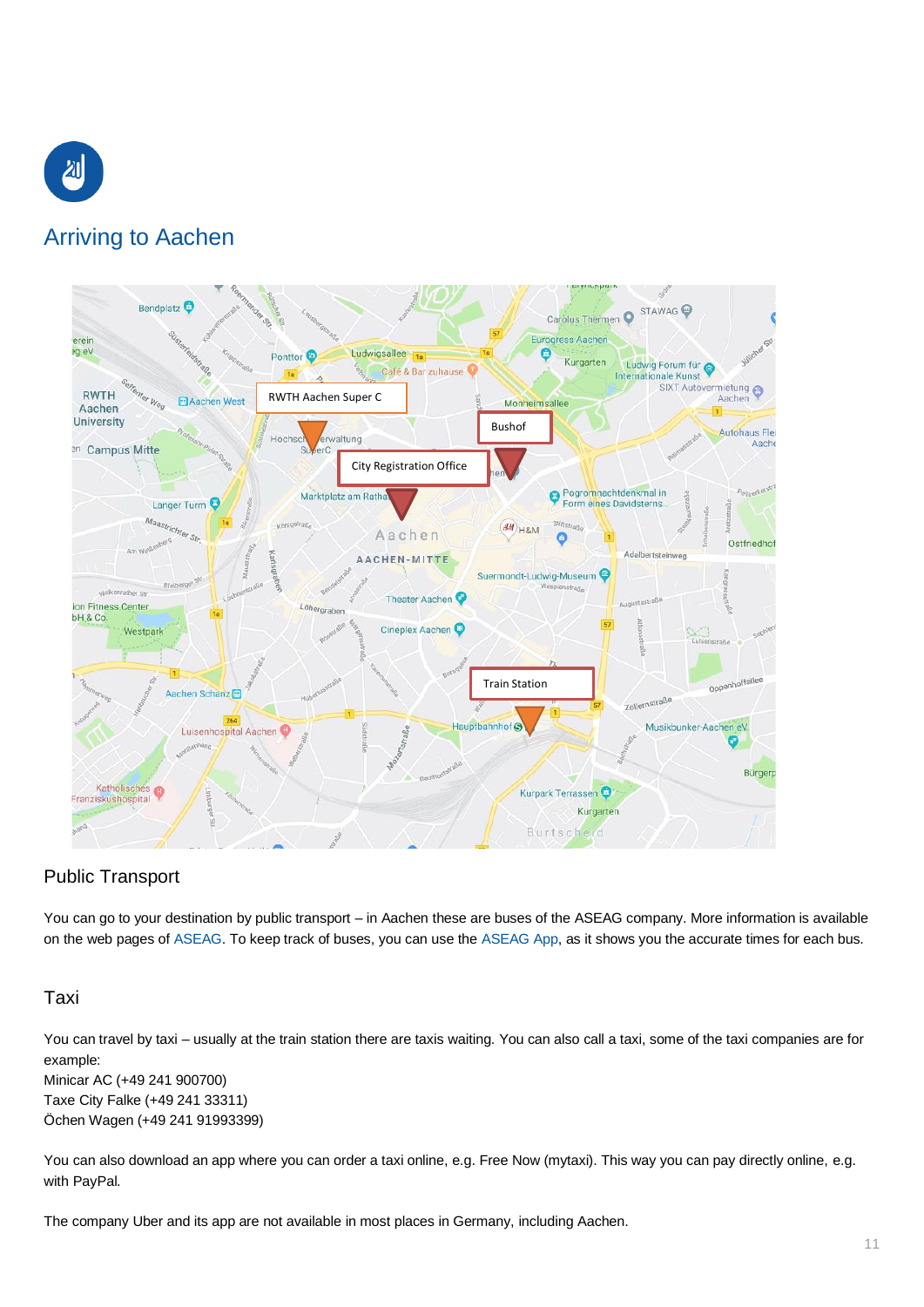

# <span id="page-10-0"></span>Arriving to Aachen



# <span id="page-10-1"></span>Public Transport

You can go to your destination by public transport – in Aachen these are buses of the ASEAG company. More information is available on the web pages of [ASEAG.](https://www.aseag.de/no_cache/de/tickets/einzel-tickets/fahrrad-ticket/?sword_list%5B0%5D=fahrrad) To keep track of buses, you can use the [ASEAG App,](https://www.aseag.de/fahrplan/aseag-mobil/) as it shows you the accurate times for each bus.

## <span id="page-10-2"></span>Taxi

You can travel by taxi – usually at the train station there are taxis waiting. You can also call a taxi, some of the taxi companies are for example: Minicar AC (+49 241 900700) Taxe City Falke (+49 241 33311)

Öchen Wagen (+49 241 91993399)

You can also download an app where you can order a taxi online, e.g. Free Now (mytaxi). This way you can pay directly online, e.g. with PayPal.

The company Uber and its app are not available in most places in Germany, including Aachen.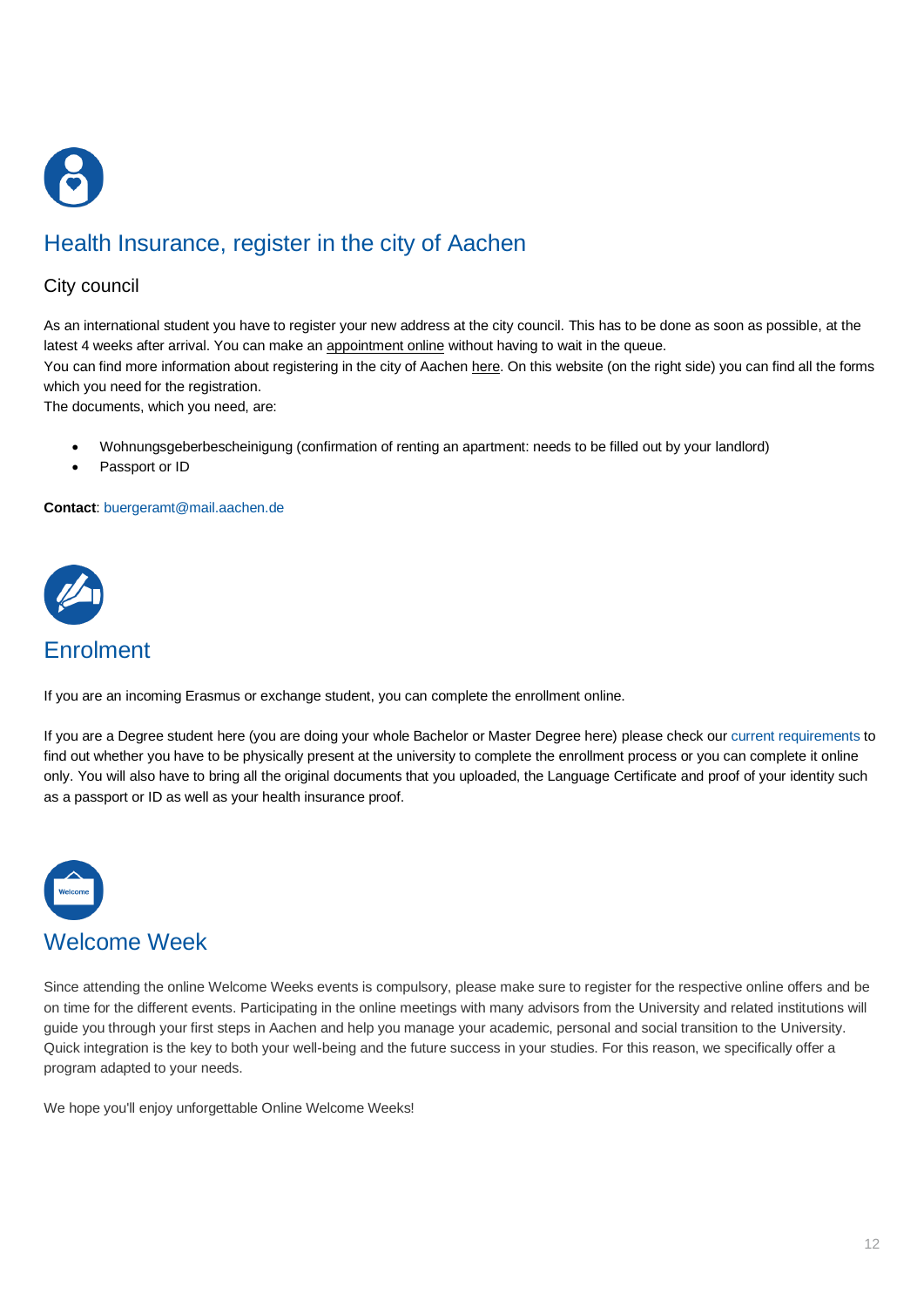

# <span id="page-11-0"></span>Health Insurance, register in the city of Aachen

## [City council](https://www.staedteregion-aachen.de/en/navigation/staedteregion-aachen/)

As an international student you have to register your new address at the city council. This has to be done as soon as possible, at the latest 4 weeks after arrival. You can make an [appointment online](https://serviceportal.aachen.de/terminvereinbarung-online) without having to wait in the queue.

You can find more information about registering in the city of Aachen [here.](https://serviceportal.aachen.de/suche/-/egov-bis-search/service/4599) On this website (on the right side) you can find all the forms which you need for the registration.

The documents, which you need, are:

- Wohnungsgeberbescheinigung (confirmation of renting an apartment: needs to be filled out by your landlord)
- Passport or ID

#### **Contact**: [buergeramt@mail.aachen.de](mailto:buergeramt@mail.aachen.de)



# <span id="page-11-1"></span>**Enrolment**

If you are an incoming Erasmus or exchange student, you can complete the enrollment online.

If you are a Degree student here (you are doing your whole Bachelor or Master Degree here) please check our [current requirements](https://www.rwth-aachen.de/go/id/dspw) to find out whether you have to be physically present at the university to complete the enrollment process or you can complete it online only. You will also have to bring all the original documents that you uploaded, the Language Certificate and proof of your identity such as a passport or ID as well as your health insurance proof.



<span id="page-11-2"></span>Since attending the online Welcome Weeks events is compulsory, please make sure to register for the respective online offers and be on time for the different events. Participating in the online meetings with many advisors from the University and related institutions will guide you through your first steps in Aachen and help you manage your academic, personal and social transition to the University. Quick integration is the key to both your well-being and the future success in your studies. For this reason, we specifically offer a program adapted to your needs.

We hope you'll enjoy unforgettable Online Welcome Weeks!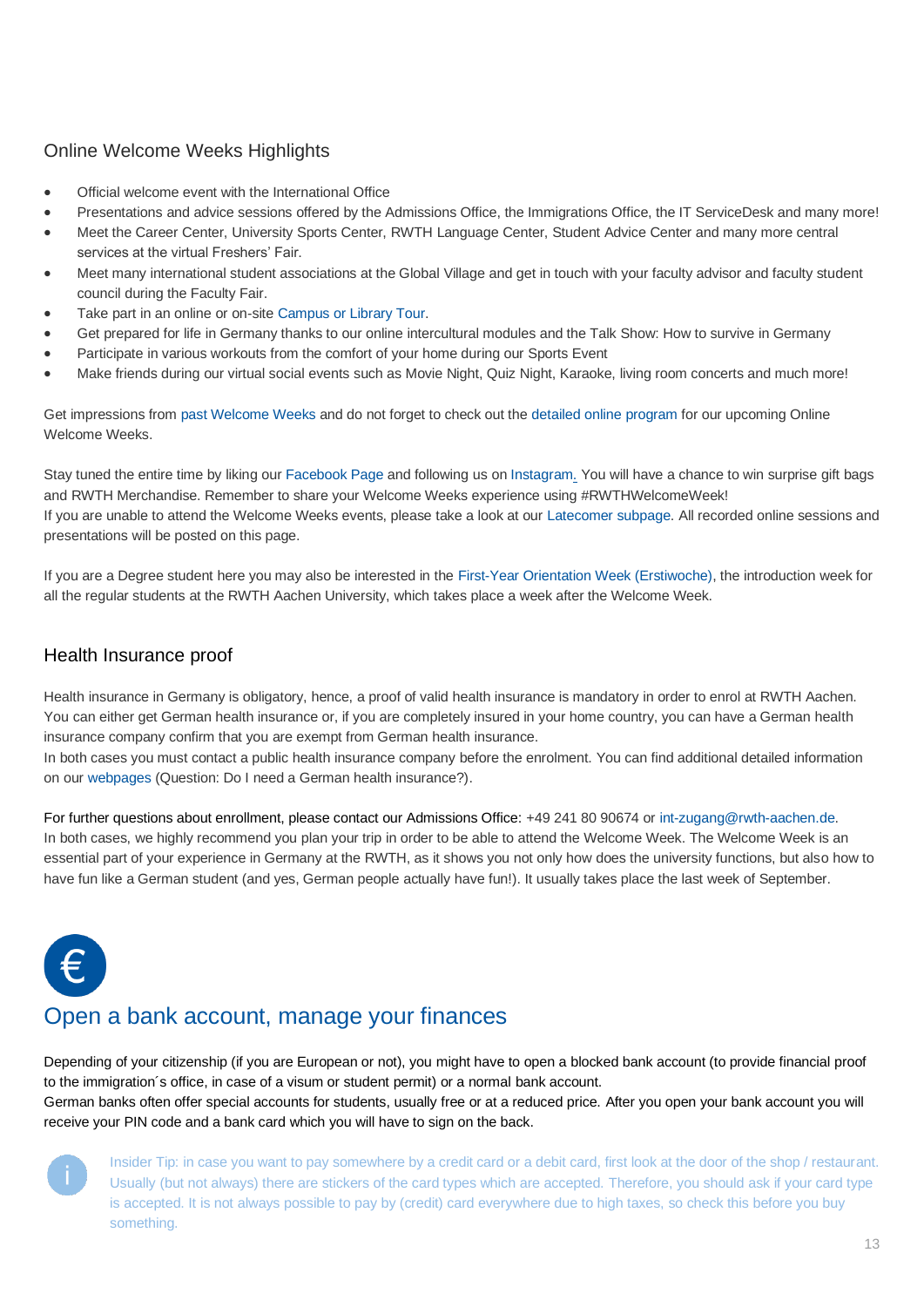# Online Welcome Weeks Highlights

- Official welcome event with the International Office
- Presentations and advice sessions offered by the Admissions Office, the Immigrations Office, the IT ServiceDesk and many more!
- Meet the Career Center, University Sports Center, RWTH Language Center, Student Advice Center and many more central services at the virtual Freshers' Fair.
- Meet many international student associations at the Global Village and get in touch with your faculty advisor and faculty student council during the Faculty Fair.
- Take part in an online or on-site [Campus or Library Tour.](https://www.rwth-aachen.de/go/id/edof/lidx/1)
- Get prepared for life in Germany thanks to our online intercultural modules and the Talk Show: How to survive in Germany
- Participate in various workouts from the comfort of your home during our Sports Event
- Make friends during our virtual social events such as Movie Night, Quiz Night, Karaoke, living room concerts and much more!

Get impressions from [past Welcome Weeks](https://www.rwth-aachen.de/go/id/cjocf/lidx/1) and do not forget to check out the [detailed online program](https://www.rwth-aachen.de/go/id/ialgy/lidx/1) for our upcoming Online Welcome Weeks.

Stay tuned the entire time by liking our [Facebook Page](https://www.facebook.com/IO.ISC/) and following us on [Instagram.](https://www.instagram.com/rwthinternationaloffice/) You will have a chance to win surprise gift bags and RWTH Merchandise. Remember to share your Welcome Weeks experience using #RWTHWelcomeWeek! If you are unable to attend the Welcome Weeks events, please take a look at our [Latecomer subpage.](https://www.rwth-aachen.de/go/id/cjnql/lidx/1) All recorded online sessions and presentations will be posted on this page.

If you are a Degree student here you may also be interested in the [First-Year Orientation Week \(Erstiwoche\),](https://www.rwth-aachen.de/cms/root/Studium/Im-Studium/Studieneingangsphase/~vcn/Erstsemestereinfuehrung/?lidx=1) the introduction week for all the regular students at the RWTH Aachen University, which takes place a week after the Welcome Week.

# Health Insurance proof

Health insurance in Germany is obligatory, hence, a proof of valid health insurance is mandatory in order to enrol at RWTH Aachen. You can either get German health insurance or, if you are completely insured in your home country, you can have a German health insurance company confirm that you are exempt from German health insurance.

In both cases you must contact a public health insurance company before the enrolment. You can find additional detailed information on our [webpages](https://www.rwth-aachen.de/cms/root/Studium/Im-Studium/Internationales/~inno/FAQ/?lidx=1) (Question: Do I need a German health insurance?).

For further questions about enrollment, please contact our Admissions Office: +49 241 80 90674 or [int-zugang@rwth-aachen.de.](mailto:int-zugang@rwth-aachen.de) In both cases, we highly recommend you plan your trip in order to be able to attend the Welcome Week. The Welcome Week is an essential part of your experience in Germany at the RWTH, as it shows you not only how does the university functions, but also how to have fun like a German student (and yes, German people actually have fun!). It usually takes place the last week of September.



# <span id="page-12-0"></span>Open a bank account, manage your finances

Depending of your citizenship (if you are European or not), you might have to open a blocked bank account (to provide financial proof to the immigration´s office, in case of a visum or student permit) or a normal bank account. German banks often offer special accounts for students, usually free or at a reduced price. After you open your bank account you will

receive your PIN code and a bank card which you will have to sign on the back.



Insider Tip: in case you want to pay somewhere by a credit card or a debit card, first look at the door of the shop / restaurant. Usually (but not always) there are stickers of the card types which are accepted. Therefore, you should ask if your card type is accepted. It is not always possible to pay by (credit) card everywhere due to high taxes, so check this before you buy something.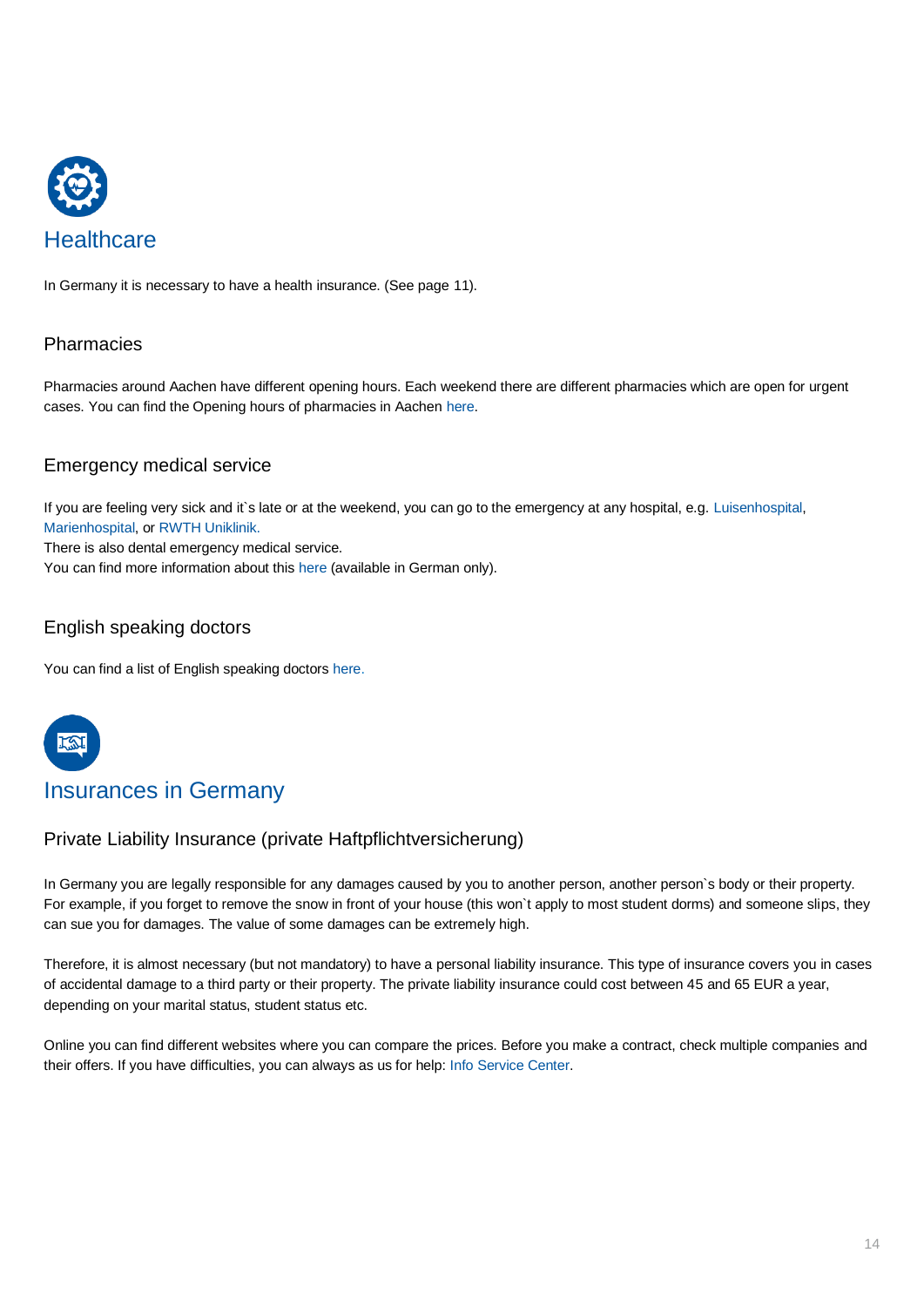

<span id="page-13-0"></span>In Germany it is necessary to have a health insurance. (See page 11).

# <span id="page-13-1"></span>**Pharmacies**

Pharmacies around Aachen have different opening hours. Each weekend there are different pharmacies which are open for urgent cases. You can find the Opening hours of pharmacies in Aache[n here.](https://www.nochoffen.de/categories/apotheken/aachen/)

# <span id="page-13-2"></span>Emergency medical service

If you are feeling very sick and it`s late or at the weekend, you can go to the emergency at any hospital, e.g[. Luisenhospital,](https://www.luisenhospital.de/luisenhospital-aachen/kliniken/notaufnahme) [Marienhospital,](https://www.marienhospital.de/de/marienhospital/kliniken/zentrale-notfallaufnahme) or [RWTH Uniklinik.](https://www.ukaachen.de/kliniken-institute/notaufnahme/zentrale-notaufnahme.html)

There is also dental emergency medical service.

You can find more information about this [here](http://www.aachen.de/DE/stadt_buerger/gesundheit/notdienste/aerzte/index.html) (available in German only).

# <span id="page-13-3"></span>English speaking doctors

You can find a list of English speaking doctor[s here.](https://www.aekno.de/service-presse/arztsuchen/arztverzeichnis)



# <span id="page-13-4"></span>Insurances in Germany

## <span id="page-13-5"></span>Private Liability Insurance (private Haftpflichtversicherung)

In Germany you are legally responsible for any damages caused by you to another person, another person`s body or their property. For example, if you forget to remove the snow in front of your house (this won`t apply to most student dorms) and someone slips, they can sue you for damages. The value of some damages can be extremely high.

Therefore, it is almost necessary (but not mandatory) to have a personal liability insurance. This type of insurance covers you in cases of accidental damage to a third party or their property. The private liability insurance could cost between 45 and 65 EUR a year, depending on your marital status, student status etc.

Online you can find different websites where you can compare the prices. Before you make a contract, check multiple companies and their offers. If you have difficulties, you can always as us for help: [Info Service Center.](https://www.rwth-aachen.de/cms/root/Studium/Im-Studium/Internationales/~rdc/Info-Service-Center-International-Offi/)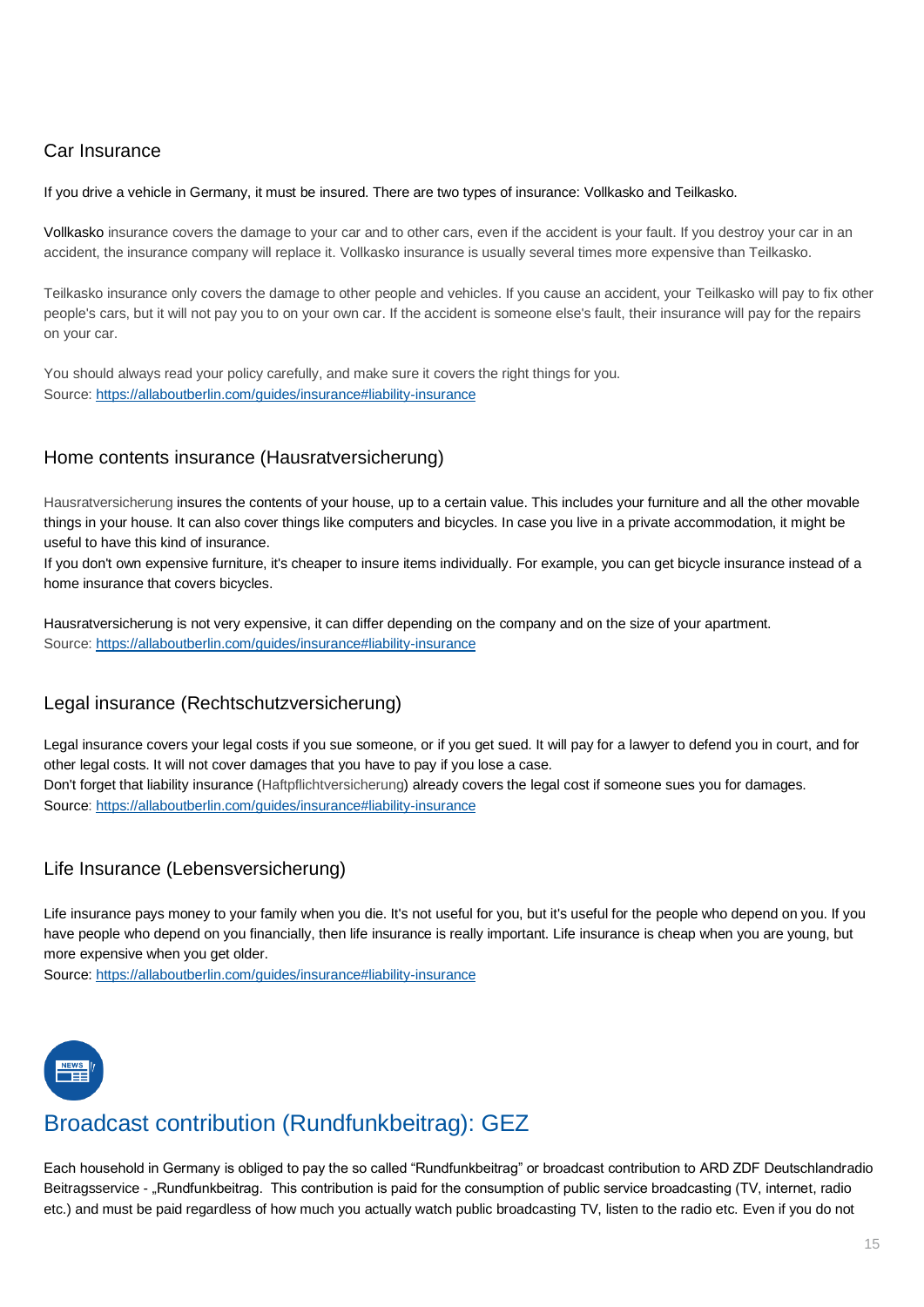# <span id="page-14-0"></span>Car Insurance

If you drive a vehicle in Germany, it must be insured. There are two types of insurance: Vollkasko and Teilkasko.

Vollkasko insurance covers the damage to your car and to other cars, even if the accident is your fault. If you destroy your car in an accident, the insurance company will replace it. Vollkasko insurance is usually several times more expensive than Teilkasko.

Teilkasko insurance only covers the damage to other people and vehicles. If you cause an accident, your Teilkasko will pay to fix other people's cars, but it will not pay you to on your own car. If the accident is someone else's fault, their insurance will pay for the repairs on your car.

You should always read your policy carefully, and make sure it covers the right things for you. Source:<https://allaboutberlin.com/guides/insurance#liability-insurance>

# <span id="page-14-1"></span>Home contents insurance (Hausratversicherung)

Hausratversicherung insures the contents of your house, up to a certain value. This includes your furniture and all the other movable things in your house. It can also cover things like computers and bicycles. In case you live in a private accommodation, it might be useful to have this kind of insurance.

If you don't own expensive furniture, it's cheaper to insure items individually. For example, you can get bicycle insurance instead of a home insurance that covers bicycles.

Hausratversicherung is not very expensive, it can differ depending on the company and on the size of your apartment. Source:<https://allaboutberlin.com/guides/insurance#liability-insurance>

# <span id="page-14-2"></span>Legal insurance (Rechtschutzversicherung)

Legal insurance covers your legal costs if you sue someone, or if you get sued. It will pay for a lawyer to defend you in court, and for other legal costs. It will not cover damages that you have to pay if you lose a case. Don't forget that liability insurance (Haftpflichtversicherung) already covers the legal cost if someone sues you for damages. Source:<https://allaboutberlin.com/guides/insurance#liability-insurance>

# <span id="page-14-3"></span>Life Insurance (Lebensversicherung)

Life insurance pays money to your family when you die. It's not useful for you, but it's useful for the people who depend on you. If you have people who depend on you financially, then life insurance is really important. Life insurance is cheap when you are young, but more expensive when you get older.

Source:<https://allaboutberlin.com/guides/insurance#liability-insurance>



# <span id="page-14-4"></span>Broadcast contribution (Rundfunkbeitrag): GEZ

Each household in Germany is obliged to pay the so called "Rundfunkbeitrag" or broadcast contribution to ARD ZDF Deutschlandradio Beitragsservice - "Rundfunkbeitrag. This contribution is paid for the consumption of public service broadcasting (TV, internet, radio etc.) and must be paid regardless of how much you actually watch public broadcasting TV, listen to the radio etc. Even if you do not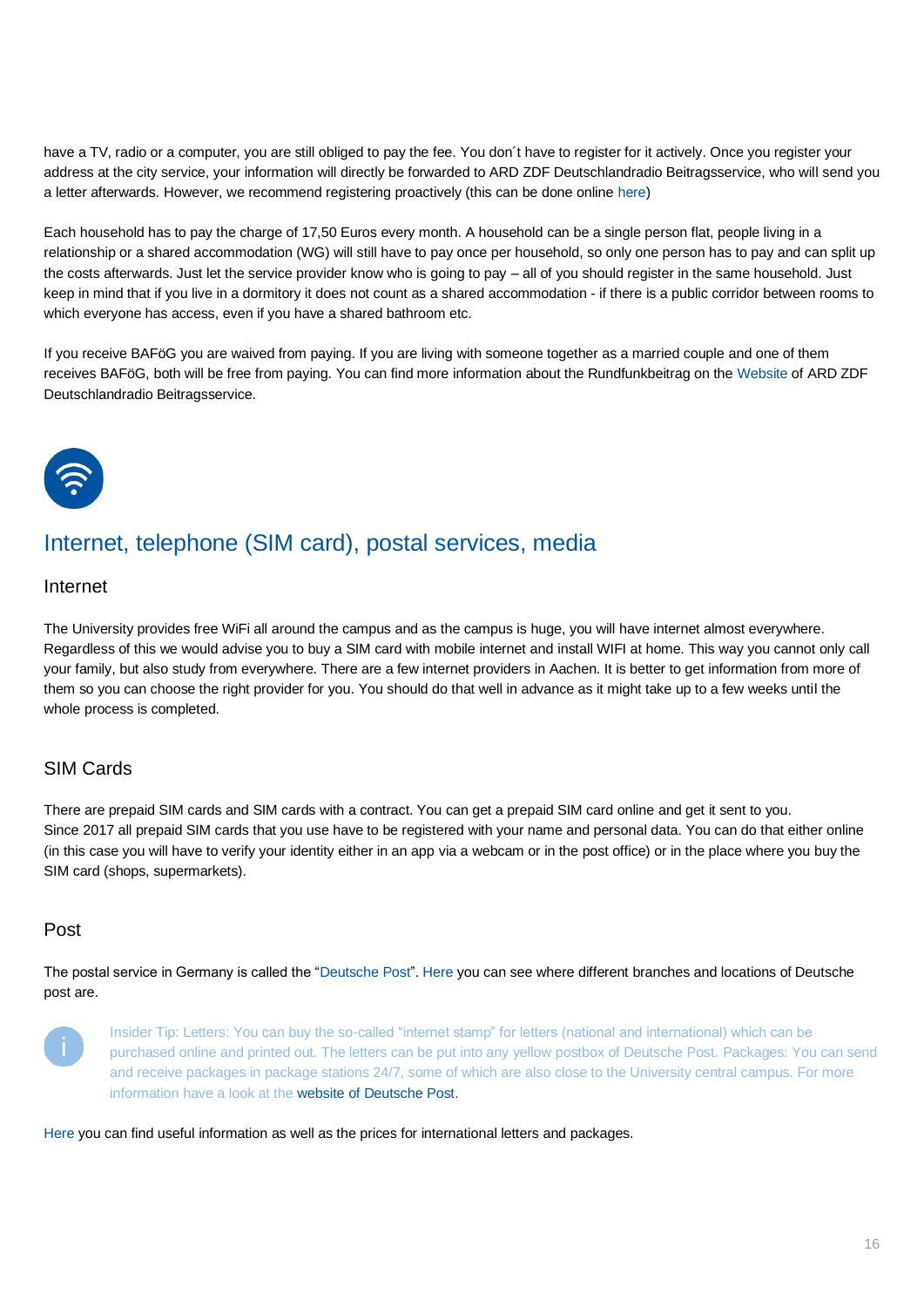have a TV, radio or a computer, you are still obliged to pay the fee. You don't have to register for it actively. Once you register your address at the city service, your information will directly be forwarded to ARD ZDF Deutschlandradio Beitragsservice, who will send you a letter afterwards. However, we recommend registering proactively (this can be done online [here\)](https://www.rundfunkbeitrag.de/buergerinnen_und_buerger/formulare/anmelden/index_ger.html)

Each household has to pay the charge of 17,50 Euros every month. A household can be a single person flat, people living in a relationship or a shared accommodation (WG) will still have to pay once per household, so only one person has to pay and can split up the costs afterwards. Just let the service provider know who is going to pay – all of you should register in the same household. Just keep in mind that if you live in a dormitory it does not count as a shared accommodation - if there is a public corridor between rooms to which everyone has access, even if you have a shared bathroom etc.

If you receive BAFöG you are waived from paying. If you are living with someone together as a married couple and one of them receives BAFöG, both will be free from paying. You can find more information about the Rundfunkbeitrag on the [Website](https://www.rundfunkbeitrag.de/) of [ARD ZDF](https://www.rundfunkbeitrag.de/)  [Deutschlandradio Beitragsservice.](https://www.rundfunkbeitrag.de/)



# <span id="page-15-0"></span>Internet, telephone (SIM card), postal services, media

#### <span id="page-15-1"></span>Internet

The University provides free WiFi all around the campus and as the campus is huge, you will have internet almost everywhere. Regardless of this we would advise you to buy a SIM card with mobile internet and install WIFI at home. This way you cannot only call your family, but also study from everywhere. There are a few internet providers in Aachen. It is better to get information from more of them so you can choose the right provider for you. You should do that well in advance as it might take up to a few weeks until the whole process is completed.

# <span id="page-15-2"></span>SIM Cards

There are prepaid SIM cards and SIM cards with a contract. You can get a prepaid SIM card online and get it sent to you. Since 2017 all prepaid SIM cards that you use have to be registered with your name and personal data. You can do that either online (in this case you will have to verify your identity either in an app via a webcam or in the post office) or in the place where you buy the SIM card (shops, supermarkets).

## <span id="page-15-3"></span>Post

The postal service in Germany is called the ["Deutsche Post"](https://www.deutschepost.de/de.html)[. Here](https://www.deutschepost.de/de/s/standorte.html) you can see where different branches and locations of Deutsche post are.



Insider Tip: Letters: You can buy the so-called "internet stamp" for letters (national and international) which can be purchased online and printed out. The letters can be put into any yellow postbox of Deutsche Post. Packages: You can send and receive packages in package stations 24/7, some of which are also close to the University central campus. For more information have a look at th[e website of Deutsche Post.](https://www.dhl.de/en/privatkunden.html)

[Here](https://www.deutschepost.de/de/b/briefe-ins-ausland.html) you can find useful information as well as the prices for international letters and packages.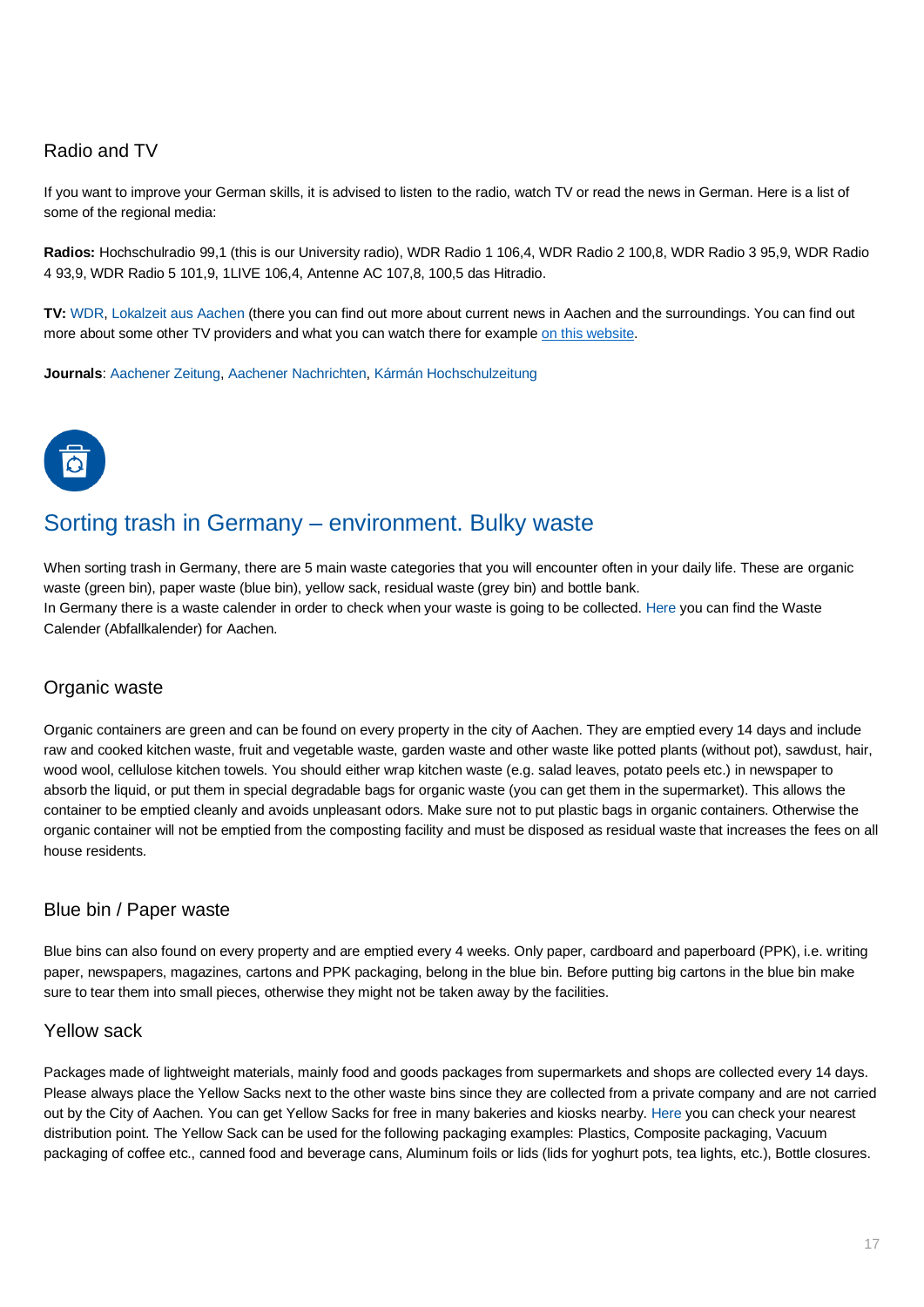# <span id="page-16-0"></span>Radio and TV

If you want to improve your German skills, it is advised to listen to the radio, watch TV or read the news in German. Here is a list of some of the regional media:

**Radios:** Hochschulradio 99,1 (this is our University radio), WDR Radio 1 106,4, WDR Radio 2 100,8, WDR Radio 3 95,9, WDR Radio 4 93,9, WDR Radio 5 101,9, 1LIVE 106,4, Antenne AC 107,8, 100,5 das Hitradio.

**TV:** [WDR,](https://www1.wdr.de/index.html) [Lokalzeit aus Aachen](https://www1.wdr.de/fernsehen/lokalzeit/aachen/index.html) (there you can find out more about current news in Aachen and the surroundings. You can find out more about some other TV providers and what you can watch there for example [on this website.](https://www.tvdigital.de/tv-programm/alphabetisch)

**Journals**: [Aachener Zeitung,](https://www.aachener-zeitung.de/) [Aachener Nachrichten,](https://www.aachener-nachrichten.de/) [Kármán Hochschulzeitung](https://blog.karman-ac.de/)



# <span id="page-16-1"></span>Sorting trash in Germany – environment. Bulky waste

When sorting trash in Germany, there are 5 main waste categories that you will encounter often in your daily life. These are organic waste (green bin), paper waste (blue bin), yellow sack, residual waste (grey bin) and bottle bank. In Germany there is a waste calender in order to check when your waste is going to be collected. [Here](file:///C:/Users/aaa-pub/AppData/Local/Microsoft/Windows/INetCache/Content.Outlook/WV2J5F9F/Waste%20Calender%20(Abfallkalender)) you can find the Waste Calender (Abfallkalender) for Aachen.

## Organic waste

Organic containers are green and can be found on every property in the city of Aachen. They are emptied every 14 days and include raw and cooked kitchen waste, fruit and vegetable waste, garden waste and other waste like potted plants (without pot), sawdust, hair, wood wool, cellulose kitchen towels. You should either wrap kitchen waste (e.g. salad leaves, potato peels etc.) in newspaper to absorb the liquid, or put them in special degradable bags for organic waste (you can get them in the supermarket). This allows the container to be emptied cleanly and avoids unpleasant odors. Make sure not to put plastic bags in organic containers. Otherwise the organic container will not be emptied from the composting facility and must be disposed as residual waste that increases the fees on all house residents.

## Blue bin / Paper waste

Blue bins can also found on every property and are emptied every 4 weeks. Only paper, cardboard and paperboard (PPK), i.e. writing paper, newspapers, magazines, cartons and PPK packaging, belong in the blue bin. Before putting big cartons in the blue bin make sure to tear them into small pieces, otherwise they might not be taken away by the facilities.

## Yellow sack

Packages made of lightweight materials, mainly food and goods packages from supermarkets and shops are collected every 14 days. Please always place the Yellow Sacks next to the other waste bins since they are collected from a private company and are not carried out by the City of Aachen. You can get Yellow Sacks for free in many bakeries and kiosks nearby[. Here](https://serviceportal.aachen.de/abfallnavi#/placetypes/Ausgabestellen%20Gelbe%20S%C3%A4cke) you can check your nearest distribution point. The Yellow Sack can be used for the following packaging examples: Plastics, Composite packaging, Vacuum packaging of coffee etc., canned food and beverage cans, Aluminum foils or lids (lids for yoghurt pots, tea lights, etc.), Bottle closures.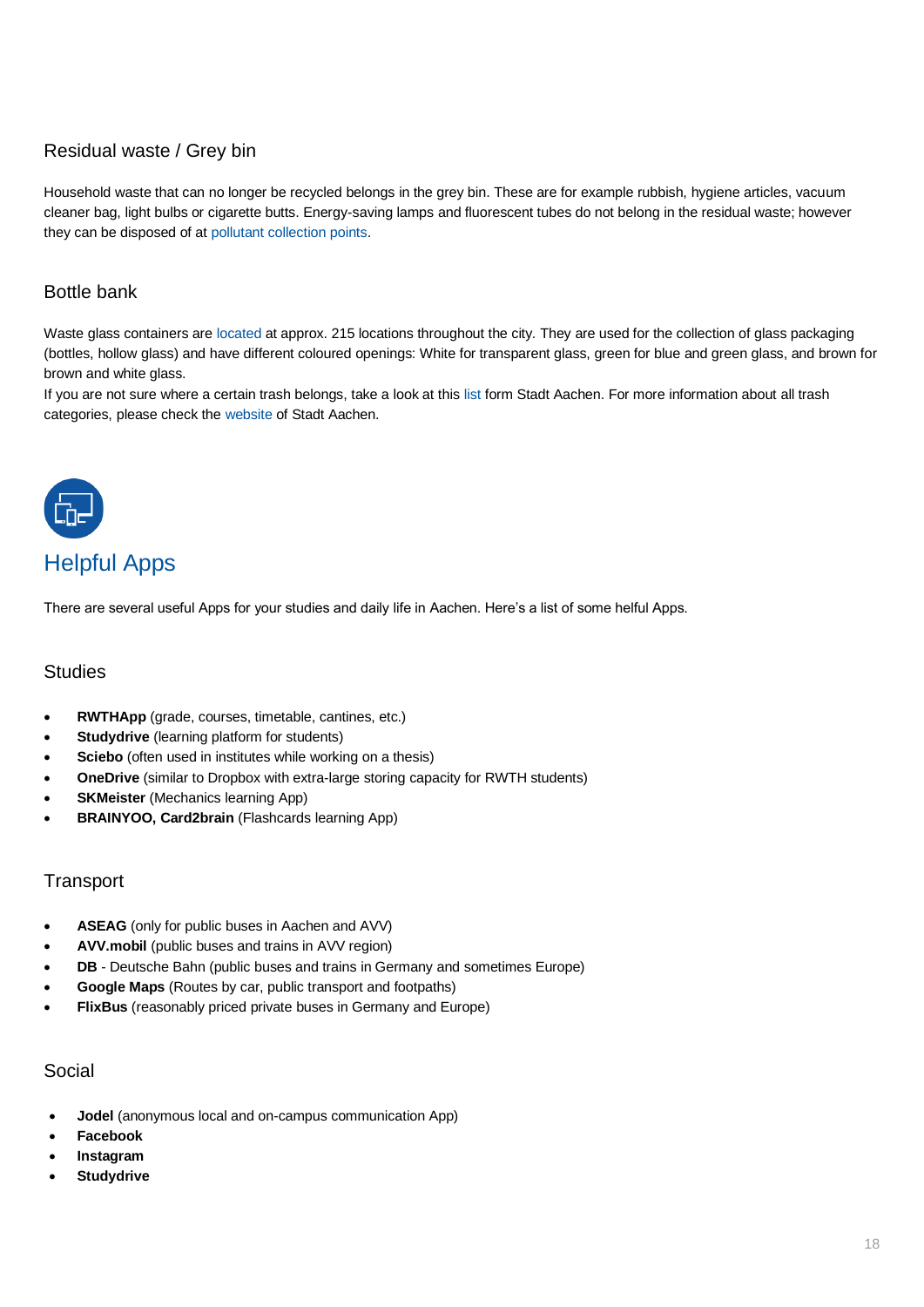# Residual waste / Grey bin

Household waste that can no longer be recycled belongs in the grey bin. These are for example rubbish, hygiene articles, vacuum cleaner bag, light bulbs or cigarette butts. Energy-saving lamps and fluorescent tubes do not belong in the residual waste; however they can be disposed of at [pollutant collection points.](http://www.aachen.de/DE/stadt_buerger/aachener_stadtbetrieb/leistungen/abfallwirtschaft/abfalltrennung/schadstoffhaltige_abfaelle/index.html)

# Bottle bank

Waste glass containers ar[e located](https://serviceportal.aachen.de/abfallnavi) at approx. 215 locations throughout the city. They are used for the collection of glass packaging (bottles, hollow glass) and have different coloured openings: White for transparent glass, green for blue and green glass, and brown for brown and white glass.

If you are not sure where a certain trash belongs, take a look at this [list](https://serviceportal.aachen.de/abfallnavi#/guidebook) form Stadt Aachen. For more information about all trash categories, please check the [website](http://www.aachen.de/DE/stadt_buerger/aachener_stadtbetrieb/leistungen/abfallwirtschaft/abfalltrennung/index.html) of Stadt Aachen.



# <span id="page-17-0"></span>Helpful Apps

There are several useful Apps for your studies and daily life in Aachen. Here's a list of some helful Apps.

## <span id="page-17-1"></span>**Studies**

- **RWTHApp** (grade, courses, timetable, cantines, etc.)
- **Studydrive** (learning platform for students)
- **Sciebo** (often used in institutes while working on a thesis)
- **OneDrive** (similar to Dropbox with extra-large storing capacity for RWTH students)
- **SKMeister** (Mechanics learning App)
- **BRAINYOO, Card2brain** (Flashcards learning App)

# <span id="page-17-2"></span>**Transport**

- **ASEAG** (only for public buses in Aachen and AVV)
- **AVV.mobil** (public buses and trains in AVV region)
- **DB** Deutsche Bahn (public buses and trains in Germany and sometimes Europe)
- **Google Maps** (Routes by car, public transport and footpaths)
- **FlixBus** (reasonably priced private buses in Germany and Europe)

## <span id="page-17-3"></span>Social

- **Jodel** (anonymous local and on-campus communication App)
- **Facebook**
- **Instagram**
- **Studydrive**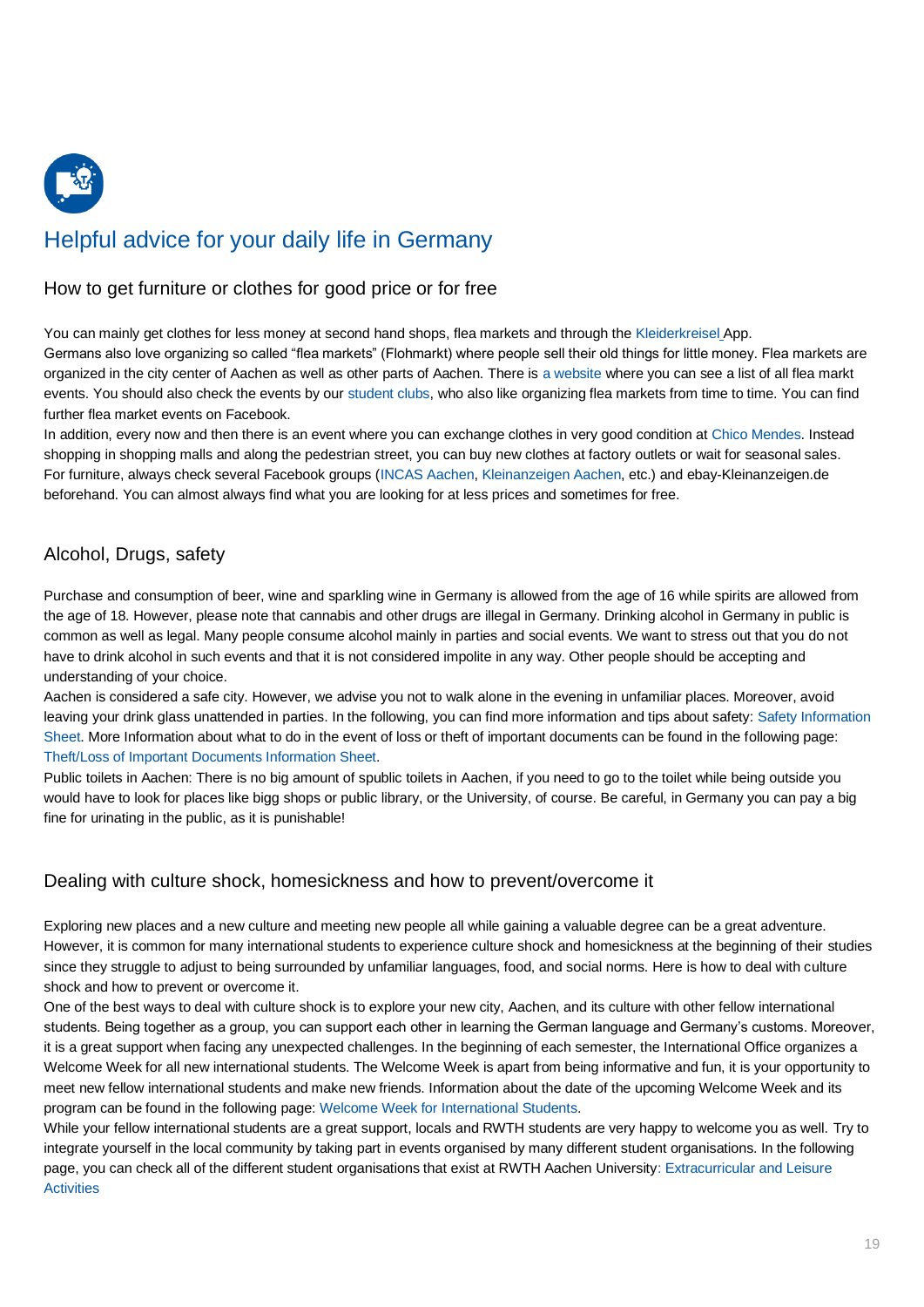

# <span id="page-18-0"></span>Helpful advice for your daily life in Germany

## <span id="page-18-1"></span>How to get furniture or clothes for good price or for free

You can mainly get clothes for less money at second hand shops, flea markets and through th[e Kleiderkreisel](https://play.google.com/store/apps/details?id=de.kleiderkreisel&hl=de) App. Germans also love organizing so called "flea markets" (Flohmarkt) where people sell their old things for little money. Flea markets are organized in the city center of Aachen as well as other parts of Aachen. There is [a website](https://meine-flohmarkt-termine.de/flohmarkt/ort/aachen.html) where you can see a list of all flea markt events. You should also check the events by our [student clubs,](https://www.rwth-aachen.de/cms/root/Studium/Im-Studium/~ejt/Engagement-Freizeit/?lidx=1) who also like organizing flea markets from time to time. You can find further flea market events on Facebook.

In addition, every now and then there is an event where you can exchange clothes in very good condition a[t Chico Mendes.](https://www.studentenwerk-khg-aachen.de/de/chico-mendes/) Instead shopping in shopping malls and along the pedestrian street, you can buy new clothes at factory outlets or wait for seasonal sales. For furniture, always check several Facebook groups [\(INCAS Aachen,](https://www.facebook.com/groups/174428701783/) [Kleinanzeigen Aachen,](https://www.facebook.com/groups/1463886803933350/) etc.) and ebay-Kleinanzeigen.de beforehand. You can almost always find what you are looking for at less prices and sometimes for free.

# <span id="page-18-2"></span>Alcohol, Drugs, safety

Purchase and consumption of beer, wine and sparkling wine in Germany is allowed from the age of 16 while spirits are allowed from the age of 18. However, please note that cannabis and other drugs are illegal in Germany. Drinking alcohol in Germany in public is common as well as legal. Many people consume alcohol mainly in parties and social events. We want to stress out that you do not have to drink alcohol in such events and that it is not considered impolite in any way. Other people should be accepting and understanding of your choice.

Aachen is considered a safe city. However, we advise you not to walk alone in the evening in unfamiliar places. Moreover, avoid leaving your drink glass unattended in parties. In the following, you can find more information and tips about safety: [Safety Information](https://www.rwth-aachen.de/global/show_document.asp?id=aaaaaaaaaanixjk)  [Sheet.](https://www.rwth-aachen.de/global/show_document.asp?id=aaaaaaaaaanixjk) More Information about what to do in the event of loss or theft of important documents can be found in the following page: [Theft/Loss of Important Documents Information Sheet.](https://www.rwth-aachen.de/global/show_document.asp?id=aaaaaaaaaanixji)

Public toilets in Aachen: There is no big amount of spublic toilets in Aachen, if you need to go to the toilet while being outside you would have to look for places like bigg shops or public library, or the University, of course. Be careful, in Germany you can pay a big fine for urinating in the public, as it is punishable!

# <span id="page-18-3"></span>Dealing with culture shock, homesickness and how to prevent/overcome it

Exploring new places and a new culture and meeting new people all while gaining a valuable degree can be a great adventure. However, it is common for many international students to experience culture shock and homesickness at the beginning of their studies since they struggle to adjust to being surrounded by unfamiliar languages, food, and social norms. Here is how to deal with culture shock and how to prevent or overcome it.

One of the best ways to deal with culture shock is to explore your new city, Aachen, and its culture with other fellow international students. Being together as a group, you can support each other in learning the German language and Germany's customs. Moreover, it is a great support when facing any unexpected challenges. In the beginning of each semester, the International Office organizes a Welcome Week for all new international students. The Welcome Week is apart from being informative and fun, it is your opportunity to meet new fellow international students and make new friends. Information about the date of the upcoming Welcome Week and its program can be found in the following page: [Welcome Week for International Students.](https://www.rwth-aachen.de/cms/root/Studium/Vor-dem-Studium/Internationale-Studierende/~bpqj/Welcome-Week-fuer-internationale-Studier/?lidx=1)

While your fellow international students are a great support, locals and RWTH students are very happy to welcome you as well. Try to integrate yourself in the local community by taking part in events organised by many different student organisations. In the following page, you can check all of the different student organisations that exist at RWTH Aachen University[: Extracurricular and Leisure](https://www.rwth-aachen.de/go/id/ejt/lidx/1)  **[Activities](https://www.rwth-aachen.de/go/id/ejt/lidx/1)**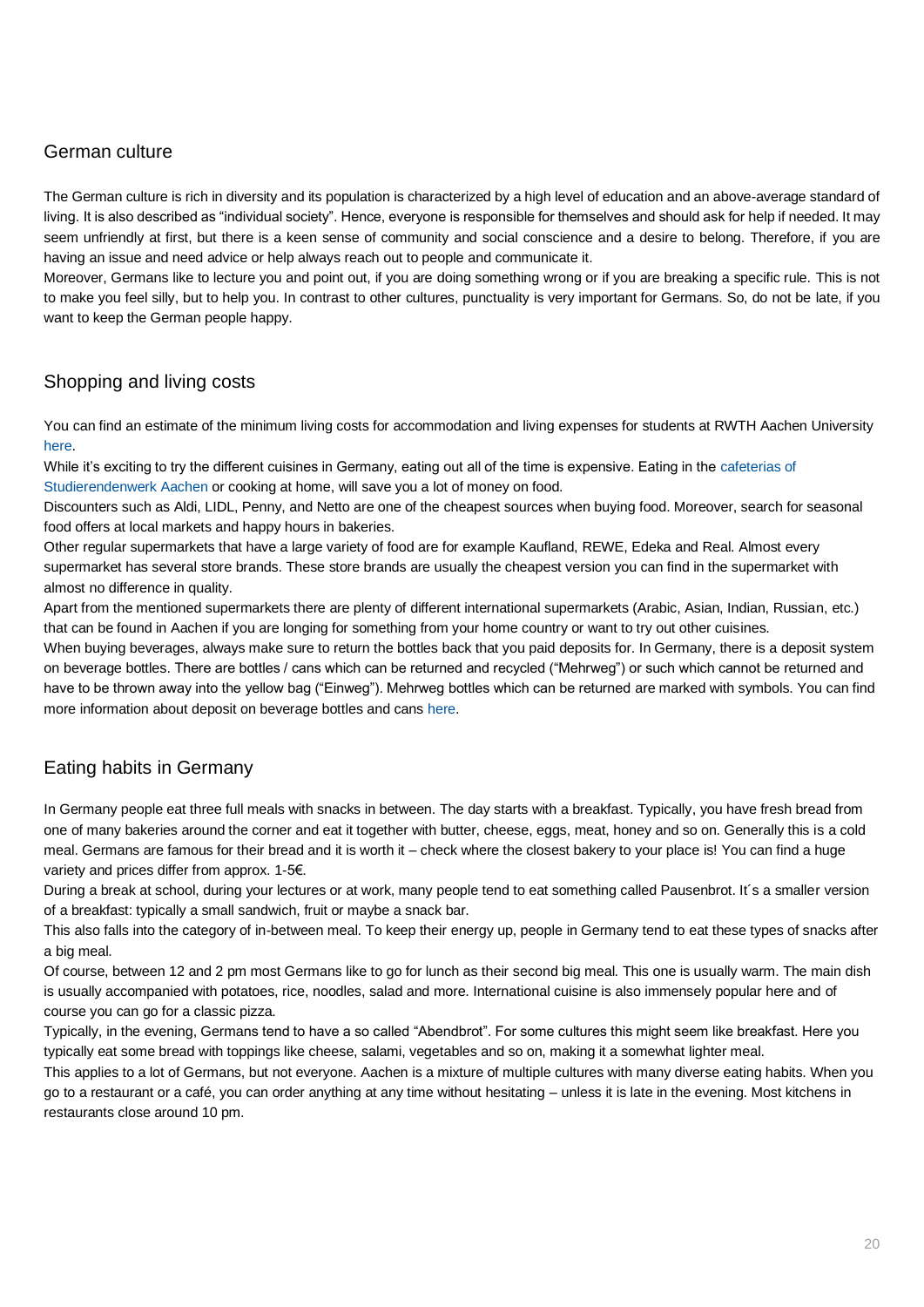# <span id="page-19-0"></span>German culture

The German culture is rich in diversity and its population is characterized by a high level of education and an above-average standard of living. It is also described as "individual society". Hence, everyone is responsible for themselves and should ask for help if needed. It may seem unfriendly at first, but there is a keen sense of community and social conscience and a desire to belong. Therefore, if you are having an issue and need advice or help always reach out to people and communicate it.

Moreover, Germans like to lecture you and point out, if you are doing something wrong or if you are breaking a specific rule. This is not to make you feel silly, but to help you. In contrast to other cultures, punctuality is very important for Germans. So, do not be late, if you want to keep the German people happy.

# <span id="page-19-1"></span>Shopping and living costs

You can find an estimate of the minimum living costs for accommodation and living expenses for students at RWTH Aachen University [here.](https://www.rwth-aachen.de/go/id/bqmo/lidx/1) 

While it's exciting to try the different cuisines in Germany, eating out all of the time is expensive. Eating in the cafeterias of [Studierendenwerk Aachen](https://www.studierendenwerk-aachen.de/de/gastronomie/Speisepl%C3%A4ne.html) or cooking at home, will save you a lot of money on food.

Discounters such as Aldi, LIDL, Penny, and Netto are one of the cheapest sources when buying food. Moreover, search for seasonal food offers at local markets and happy hours in bakeries.

Other regular supermarkets that have a large variety of food are for example Kaufland, REWE, Edeka and Real. Almost every supermarket has several store brands. These store brands are usually the cheapest version you can find in the supermarket with almost no difference in quality.

Apart from the mentioned supermarkets there are plenty of different international supermarkets (Arabic, Asian, Indian, Russian, etc.) that can be found in Aachen if you are longing for something from your home country or want to try out other cuisines.

When buying beverages, always make sure to return the bottles back that you paid deposits for. In Germany, there is a deposit system on beverage bottles. There are bottles / cans which can be returned and recycled ("Mehrweg") or such which cannot be returned and have to be thrown away into the yellow bag ("Einweg"). Mehrweg bottles which can be returned are marked with symbols. You can find more information about deposit on beverage bottles and cans [here.](https://www.verbraucherzentrale.de/wissen/umwelt-haushalt/abfall/mehrweg-oder-einweg-verwirrung-total-beim-pfand-11504)

# <span id="page-19-2"></span>Eating habits in Germany

In Germany people eat three full meals with snacks in between. The day starts with a breakfast. Typically, you have fresh bread from one of many bakeries around the corner and eat it together with butter, cheese, eggs, meat, honey and so on. Generally this is a cold meal. Germans are famous for their bread and it is worth it – check where the closest bakery to your place is! You can find a huge variety and prices differ from approx. 1-5€.

During a break at school, during your lectures or at work, many people tend to eat something called Pausenbrot. It´s a smaller version of a breakfast: typically a small sandwich, fruit or maybe a snack bar.

This also falls into the category of in-between meal. To keep their energy up, people in Germany tend to eat these types of snacks after a big meal.

Of course, between 12 and 2 pm most Germans like to go for lunch as their second big meal. This one is usually warm. The main dish is usually accompanied with potatoes, rice, noodles, salad and more. International cuisine is also immensely popular here and of course you can go for a classic pizza.

Typically, in the evening, Germans tend to have a so called "Abendbrot". For some cultures this might seem like breakfast. Here you typically eat some bread with toppings like cheese, salami, vegetables and so on, making it a somewhat lighter meal.

This applies to a lot of Germans, but not everyone. Aachen is a mixture of multiple cultures with many diverse eating habits. When you go to a restaurant or a café, you can order anything at any time without hesitating – unless it is late in the evening. Most kitchens in restaurants close around 10 pm.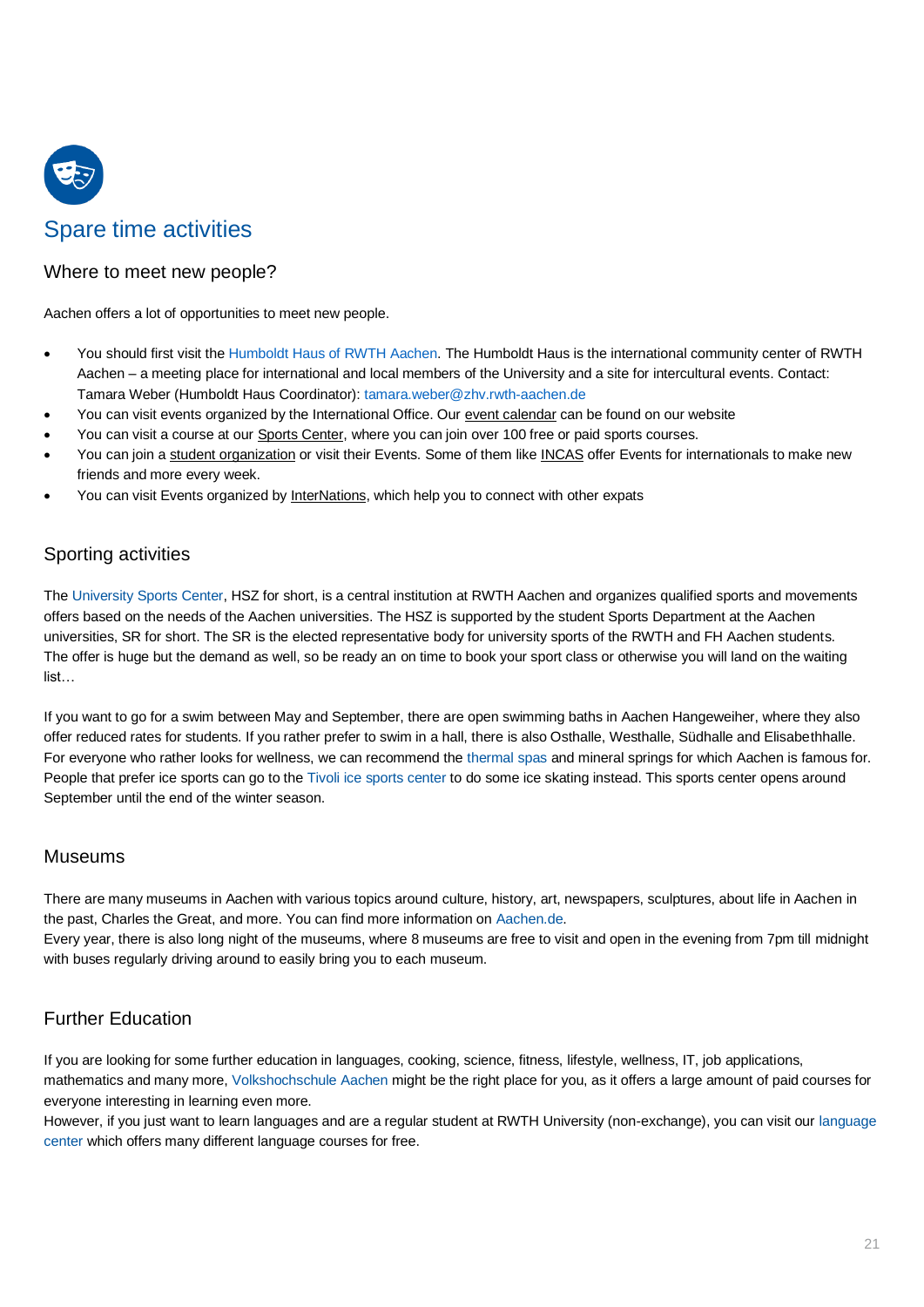

# Spare time activities

# <span id="page-20-0"></span>Where to meet new people?

Aachen offers a lot of opportunities to meet new people.

- You should first visit the [Humboldt Haus of RWTH Aachen.](https://www.rwth-aachen.de/cms/root/Die-RWTH/Einrichtungen/Verwaltung/Dezernate/Internationale-Hochschulbeziehungen/Abteilung-2-2-Betreuung/~cfud/Internationale-Treffpunkte/?lidx=1) The Humboldt Haus is the international community center of RWTH Aachen – a meeting place for international and local members of the University and a site for intercultural events. Contact: Tamara Weber (Humboldt Haus Coordinator)[: tamara.weber@zhv.rwth-aachen.de](mailto:tamara.weber@zhv.rwth-aachen.de)
- You can visit events organized by the International Office. Our [event calendar](http://www.rwth-aachen.de/go/id/cbew) can be found on our website
- You can visit a course at ou[r Sports Center,](http://hochschulsport.rwth-aachen.de/cms/HSZ/~icgj/Sport/lidx/1/) where you can join over 100 free or paid sports courses.
- You can join [a student organization](http://www.rwth-aachen.de/cms/root/Studium/Im-Studium/~ejt/Engagement-Freizeit/?lidx=1) or visit their Events. Some of them lik[e INCAS](https://www.incas.rwth-aachen.de/newsite/index.php/en/) offer Events for internationals to make new friends and more every week.
- You can visit Events organized b[y InterNations,](https://www.internations.org/aachen-expats) which help you to connect with other expats

# <span id="page-20-1"></span>Sporting activities

The [University Sports Center,](http://hochschulsport.rwth-aachen.de/cms/HSZ/~icgl/Das-Hochschulsportzentrum/?lidx=1) HSZ for short, is a central institution at RWTH Aachen and organizes qualified sports and movements offers based on the needs of the Aachen universities. The HSZ is supported by the student Sports Department at the Aachen universities, SR for short. The SR is the elected representative body for university sports of the RWTH and FH Aachen students. The offer is huge but the demand as well, so be ready an on time to book your sport class or otherwise you will land on the waiting list…

If you want to go for a swim between May and September, there are open swimming baths in Aachen Hangeweiher, where they also offer reduced rates for students. If you rather prefer to swim in a hall, there is also Osthalle, Westhalle, Südhalle and Elisabethhalle. For everyone who rather looks for wellness, we can recommend the [thermal spas](https://www.carolus-thermen.de/de/thermalbad/) and mineral springs for which Aachen is famous for. People that prefer ice sports can go to the [Tivoli ice sports center](https://1005arena.de/) to do some ice skating instead. This sports center opens around September until the end of the winter season.

## <span id="page-20-2"></span>Museums

There are many museums in Aachen with various topics around culture, history, art, newspapers, sculptures, about life in Aachen in the past, Charles the Great, and more. You can find more information o[n Aachen.de.](http://www.aachen.de/DE/kultur_freizeit/kultur/museen_sammlungen/index.html)

Every year, there is also long night of the museums, where 8 museums are free to visit and open in the evening from 7pm till midnight with buses regularly driving around to easily bring you to each museum.

# <span id="page-20-3"></span>Further Education

If you are looking for some further education in languages, cooking, science, fitness, lifestyle, wellness, IT, job applications, mathematics and many more, [Volkshochschule Aachen](https://www.vhs-aachen.de/index.php) might be the right place for you, as it offers a large amount of paid courses for everyone interesting in learning even more.

However, if you just want to learn languages and are a regular student at RWTH University (non-exchange), you can visit ou[r language](https://www.sz.rwth-aachen.de/cms/~iilg/sz/?lidx=1)  [center](https://www.sz.rwth-aachen.de/cms/~iilg/sz/?lidx=1) which offers many different language courses for free.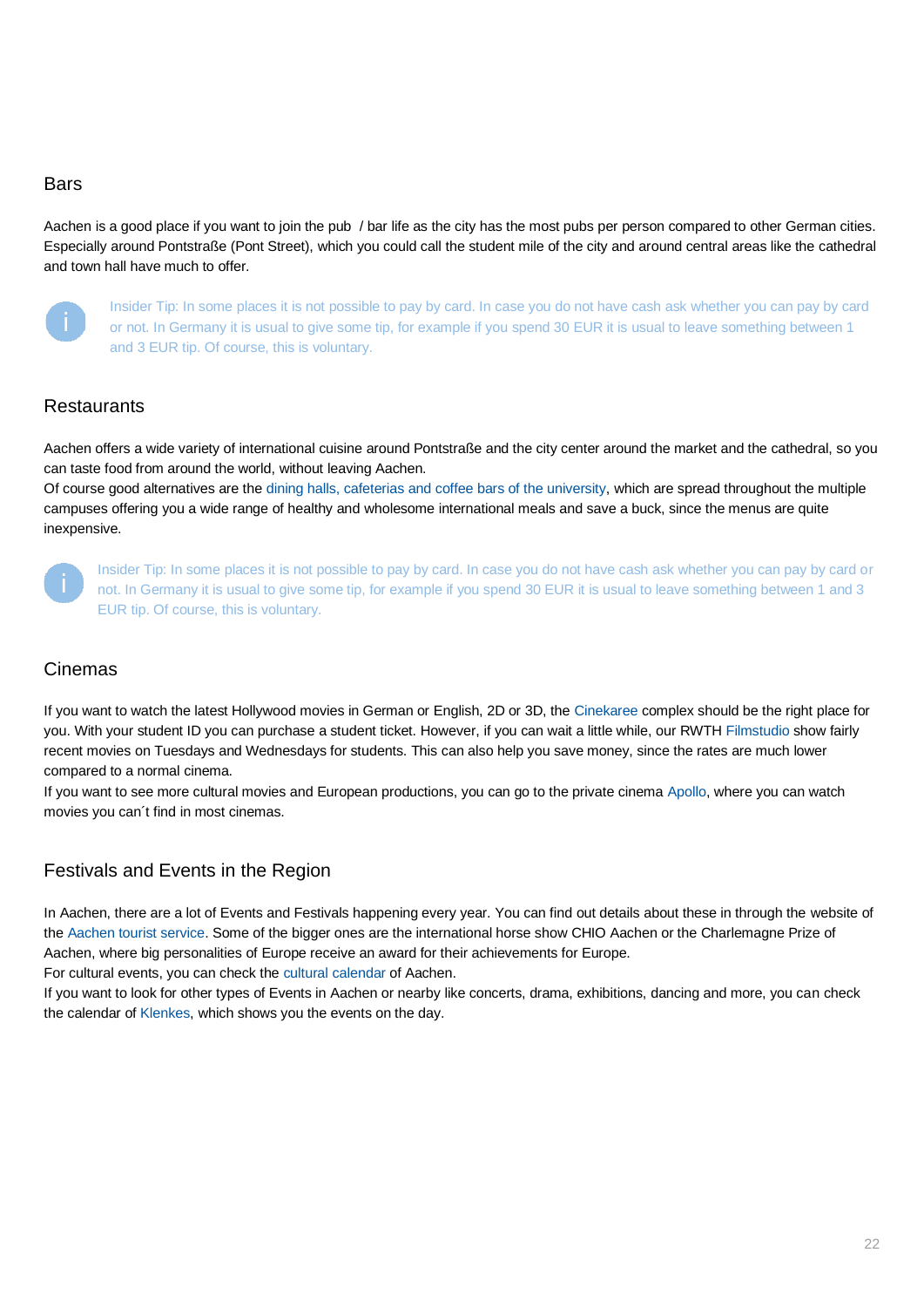#### <span id="page-21-0"></span>**Bars**

Aachen is a good place if you want to join the pub / bar life as the city has the most pubs per person compared to other German cities. Especially around Pontstraße (Pont Street), which you could call the student mile of the city and around central areas like the cathedral and town hall have much to offer.



Insider Tip: In some places it is not possible to pay by card. In case you do not have cash ask whether you can pay by card or not. In Germany it is usual to give some tip, for example if you spend 30 EUR it is usual to leave something between 1 and 3 EUR tip. Of course, this is voluntary.

## <span id="page-21-1"></span>**Restaurants**

Aachen offers a wide variety of international cuisine around Pontstraße and the city center around the market and the cathedral, so you can taste food from around the world, without leaving Aachen.

Of course good alternatives are th[e dining halls, cafeterias and coffee bars of the university,](http://www.studierendenwerk-aachen.de/en/eating-drinking/dining-halls-and-cafeterias.html) which are spread throughout the multiple campuses offering you a wide range of healthy and wholesome international meals and save a buck, since the menus are quite inexpensive.



Insider Tip: In some places it is not possible to pay by card. In case you do not have cash ask whether you can pay by card or not. In Germany it is usual to give some tip, for example if you spend 30 EUR it is usual to leave something between 1 and 3 EUR tip. Of course, this is voluntary.

## <span id="page-21-2"></span>Cinemas

If you want to watch the latest Hollywood movies in German or English, 2D or 3D, the [Cinekaree](https://www.cineplex.de/aachen/) complex should be the right place for you. With your student ID you can purchase a student ticket. However, if you can wait a little while, our RWT[H Filmstudio](https://www.filmstudio.rwth-aachen.de/) show fairly recent movies on Tuesdays and Wednesdays for students. This can also help you save money, since the rates are much lower compared to a normal cinema.

If you want to see more cultural movies and European productions, you can go to the private cinema [Apollo,](http://www.apollo-aachen.de/) where you can watch movies you can´t find in most cinemas.

# <span id="page-21-3"></span>Festivals and Events in the Region

In Aachen, there are a lot of Events and Festivals happening every year. You can find out details about these in through the website of th[e Aachen tourist service.](https://www.aachen-tourismus.de/erleben-entdecken/eventsundveranstaltungen/) Some of the bigger ones are the international horse show CHIO Aachen or the Charlemagne Prize of Aachen, where big personalities of Europe receive an award for their achievements for Europe.

For cultural events, you can check the [cultural calendar](http://kulturkalender-aachen.de/) of Aachen.

If you want to look for other types of Events in Aachen or nearby like concerts, drama, exhibitions, dancing and more, you can check the calendar of [Klenkes,](https://www.klenkes.de/tageskalender/today) which shows you the events on the day.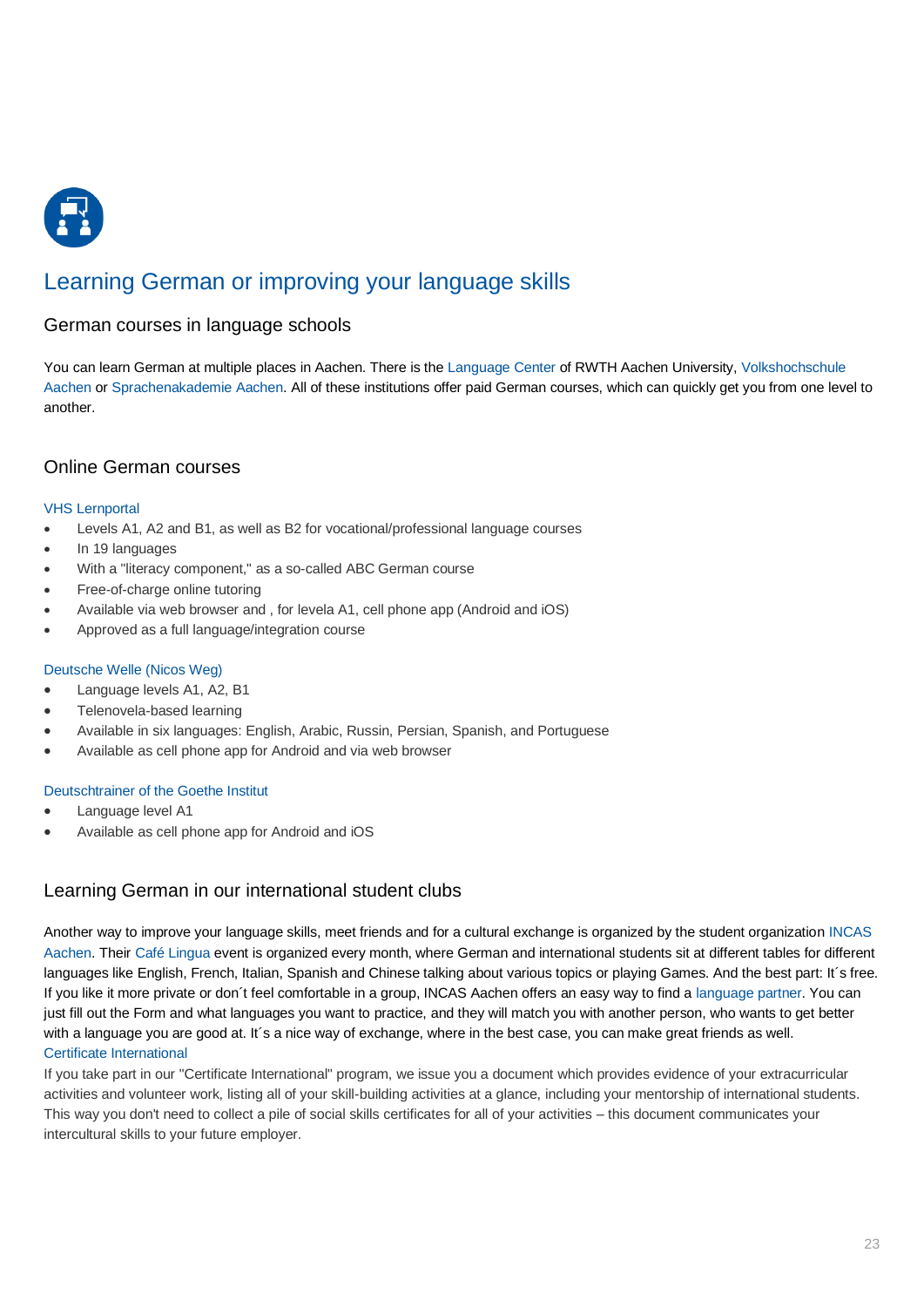

# <span id="page-22-0"></span>Learning German or improving your language skills

## <span id="page-22-1"></span>German courses in language schools

You can learn German at multiple places in Aachen. There is th[e Language Center](https://www.sz.rwth-aachen.de/go/id/iilg/?) of RWTH Aachen University[, Volkshochschule](https://www.vhs-aachen.de/index.php)  [Aachen](https://www.vhs-aachen.de/index.php) or [Sprachenakademie Aachen.](https://www.spraachen.org/de/) All of these institutions offer paid German courses, which can quickly get you from one level to another.

## <span id="page-22-2"></span>Online German courses

#### [VHS Lernportal](https://deutsch.vhs-lernportal.de/wws/9.php#/wws/deutsch.php?13cf87b02f9fa1ec4a66b3c30daf2204)

- Levels A1, A2 and B1, as well as B2 for vocational/professional language courses
- In 19 languages
- With a "literacy component," as a so-called ABC German course
- Free-of-charge online tutoring
- Available via web browser and , for levela A1, cell phone app (Android and iOS)
- Approved as a full language/integration course

#### [Deutsche Welle \(Nicos Weg\)](https://learngerman.dw.com/en/beginners/c-36519789)

- Language levels A1, A2, B1
- Telenovela-based learning
- Available in six languages: English, Arabic, Russin, Persian, Spanish, and Portuguese
- Available as cell phone app for Android and via web browser

#### [Deutschtrainer of the Goethe Institut](https://www.rwth-aachen.de/cms/root/Studium/Im-Studium/Internationales/~inno/FAQ/?lidx=1)

- Language level A1
- Available as cell phone app for Android and iOS

# <span id="page-22-3"></span>Learning German in our international student clubs

Another way to improve your language skills, meet friends and for a cultural exchange is organized by the student organization [INCAS](https://www.incas.rwth-aachen.de/newsite/index.php/en/)  [Aachen.](https://www.incas.rwth-aachen.de/newsite/index.php/en/) Their [Café Lingua](https://www.incas.rwth-aachen.de/newsite/index.php/en/offers/learning-languages) event is organized every month, where German and international students sit at different tables for different languages like English, French, Italian, Spanish and Chinese talking about various topics or playing Games. And the best part: It´s free. If you like it more private or don´t feel comfortable in a group, INCAS Aachen offers an easy way to find a [language partner.](https://www.incas.rwth-aachen.de/newsite/index.php/en/offers/language-partner) You can just fill out the Form and what languages you want to practice, and they will match you with another person, who wants to get better with a language you are good at. It's a nice way of exchange, where in the best case, you can make great friends as well. [Certificate International](https://www.rwth-aachen.de/cms/root/Studium/Im-Studium/Engagement-Freizeit/Engagement-International/~bqxh/Zertifikat-Internationales/?lidx=1)

<span id="page-22-4"></span>If you take part in our "Certificate International" program, we issue you a document which provides evidence of your extracurricular activities and volunteer work, listing all of your skill-building activities at a glance, including your mentorship of international students. This way you don't need to collect a pile of social skills certificates for all of your activities – this document communicates your intercultural skills to your future employer.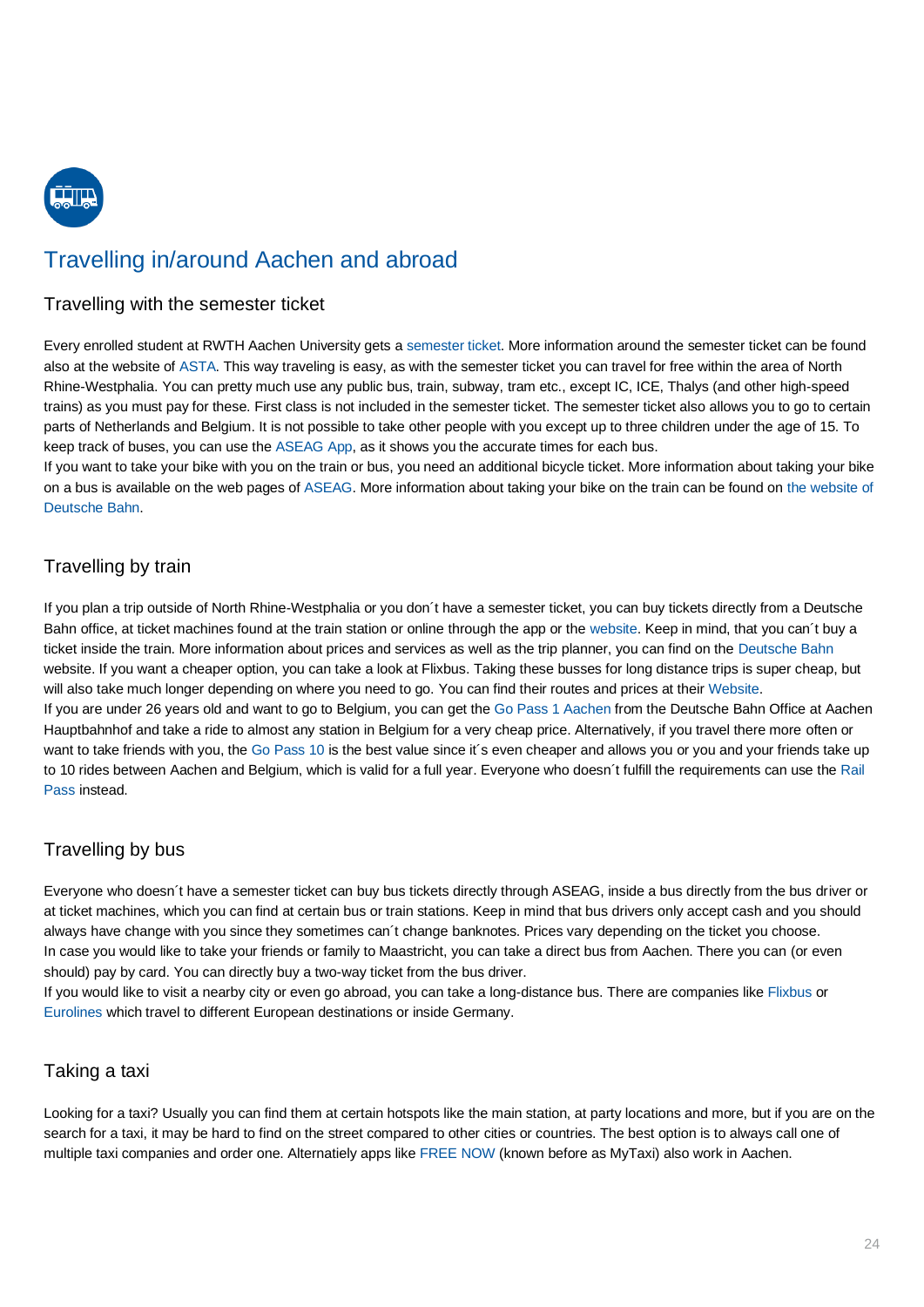

# <span id="page-23-0"></span>Travelling in/around Aachen and abroad

## <span id="page-23-1"></span>Travelling with the semester ticket

Every enrolled student at RWTH Aachen University gets a [semester ticket.](https://www.rwth-aachen.de/cms/root/Die-RWTH/Mobilitaet/~jgyk/Semesterticket/?lidx=1) More information around the semester ticket can be found also at the website of [ASTA.](https://www.asta.rwth-aachen.de/) This way traveling is easy, as with the semester ticket you can travel for free within the area of North Rhine-Westphalia. You can pretty much use any public bus, train, subway, tram etc., except IC, ICE, Thalys (and other high-speed trains) as you must pay for these. First class is not included in the semester ticket. The semester ticket also allows you to go to certain parts of Netherlands and Belgium. It is not possible to take other people with you except up to three children under the age of 15. To keep track of buses, you can use th[e ASEAG App,](https://www.aseag.de/fahrplan/aseag-mobil/) as it shows you the accurate times for each bus.

If you want to take your bike with you on the train or bus, you need an additional bicycle ticket. More information about taking your bike on a bus is available on the web pages of [ASEAG.](https://www.aseag.de/no_cache/de/tickets/einzel-tickets/fahrrad-ticket/?sword_list%5B0%5D=fahrrad) More information about taking your bike on the train can be found on [the website of](https://www.bahn.de/p/view/service/fahrrad/bahn_und_fahrrad.shtml)  [Deutsche Bahn.](https://www.bahn.de/p/view/service/fahrrad/bahn_und_fahrrad.shtml)

# <span id="page-23-2"></span>Travelling by train

If you plan a trip outside of North Rhine-Westphalia or you don´t have a semester ticket, you can buy tickets directly from a Deutsche Bahn office, at ticket machines found at the train station or online through the app or the [website.](https://www.bahn.de/p/view/index.shtml?dbkanal_021=1&dbkanal_001=L01_S01_D001_KSE0001_MVQ_10001_0118_VE_BRAN_DB%20Brand%20Always-on%20(Google)_GSE1_Brand_NRW_LZ01&extProvId=5&extPu=14058-gaw&extLi=2070149210&extCr=83246203184-368483614938&extSi=&extTg=&keyword=bahn&extAP=1t1&extMT=p&gclid=EAIaIQobChMIo5jX0eeE5AIVQud3Ch1LPgwQEAAYASAAEgIUbfD_BwE) Keep in mind, that you can´t buy a ticket inside the train. More information about prices and services as well as the trip planner, you can find on the [Deutsche Bahn](https://www.bahn.de/p/view/index.shtml?dbkanal_021=1&dbkanal_001=L01_S01_D001_KSE0001_MVQ_10001_0118_VE_BRAN_DB%20Brand%20Always-on%20(Google)_GSE1_Brand_NRW_LZ01&extProvId=5&extPu=14058-gaw&extLi=2070149210&extCr=83246203184-368483614938&extSi=&extTg=&keyword=bahn&extAP=1t1&extMT=p&gclid=EAIaIQobChMIo5jX0eeE5AIVQud3Ch1LPgwQEAAYASAAEgIUbfD_BwE) website. If you want a cheaper option, you can take a look at Flixbus. Taking these busses for long distance trips is super cheap, but will also take much longer depending on where you need to go. You can find their routes and prices at thei[r Website.](https://www.flixbus.de/?wt_mc=acq.de.FlixBus.sea-brand.google.9727384616.170017365_10270474605.ad&wt_cc1=branded&wt_cc5=flixbus&gclid=EAIaIQobChMI78n7-uuE5AIVVud3Ch1sPQQbEAAYASAAEgIRJfD_BwE) If you are under 26 years old and want to go to Belgium, you can get th[e Go Pass 1 Aachen](http://www.belgianrail.be/de/fahrausweise/abroad/aachen/gopass1-nach-aachen.aspx) from the Deutsche Bahn Office at Aachen Hauptbahnhof and take a ride to almost any station in Belgium for a very cheap price. Alternatively, if you travel there more often or want to take friends with you, the [Go Pass 10](https://www.belgianrail.be/de/fahrausweise/zugpasse-mehrfahrtenkarten/go-pass-10.aspx) is the best value since it's even cheaper and allows you or you and your friends take up to 10 rides between Aachen and Belgium, which is valid for a full year. Everyone who doesn´t fulfill the requirements can use th[e Rail](https://www.belgianrail.be/de/fahrausweise/zugpasse-mehrfahrtenkarten/rail-pass.aspx)  [Pass](https://www.belgianrail.be/de/fahrausweise/zugpasse-mehrfahrtenkarten/rail-pass.aspx) instead.

# <span id="page-23-3"></span>Travelling by bus

Everyone who doesn´t have a semester ticket can buy bus tickets directly through ASEAG, inside a bus directly from the bus driver or at ticket machines, which you can find at certain bus or train stations. Keep in mind that bus drivers only accept cash and you should always have change with you since they sometimes can´t change banknotes. Prices vary depending on the ticket you choose. In case you would like to take your friends or family to Maastricht, you can take a direct bus from Aachen. There you can (or even should) pay by card. You can directly buy a two-way ticket from the bus driver.

If you would like to visit a nearby city or even go abroad, you can take a long-distance bus. There are companies lik[e Flixbus](https://www.flixbus.de/) or [Eurolines](https://www.eurolines.de/de/startseite/) which travel to different European destinations or inside Germany.

# <span id="page-23-4"></span>Taking a taxi

Looking for a taxi? Usually you can find them at certain hotspots like the main station, at party locations and more, but if you are on the search for a taxi, it may be hard to find on the street compared to other cities or countries. The best option is to always call one of multiple taxi companies and order one. Alternatiely apps lik[e FREE NOW](https://free-now.com/de/fahrgast/) (known before as MyTaxi) also work in Aachen.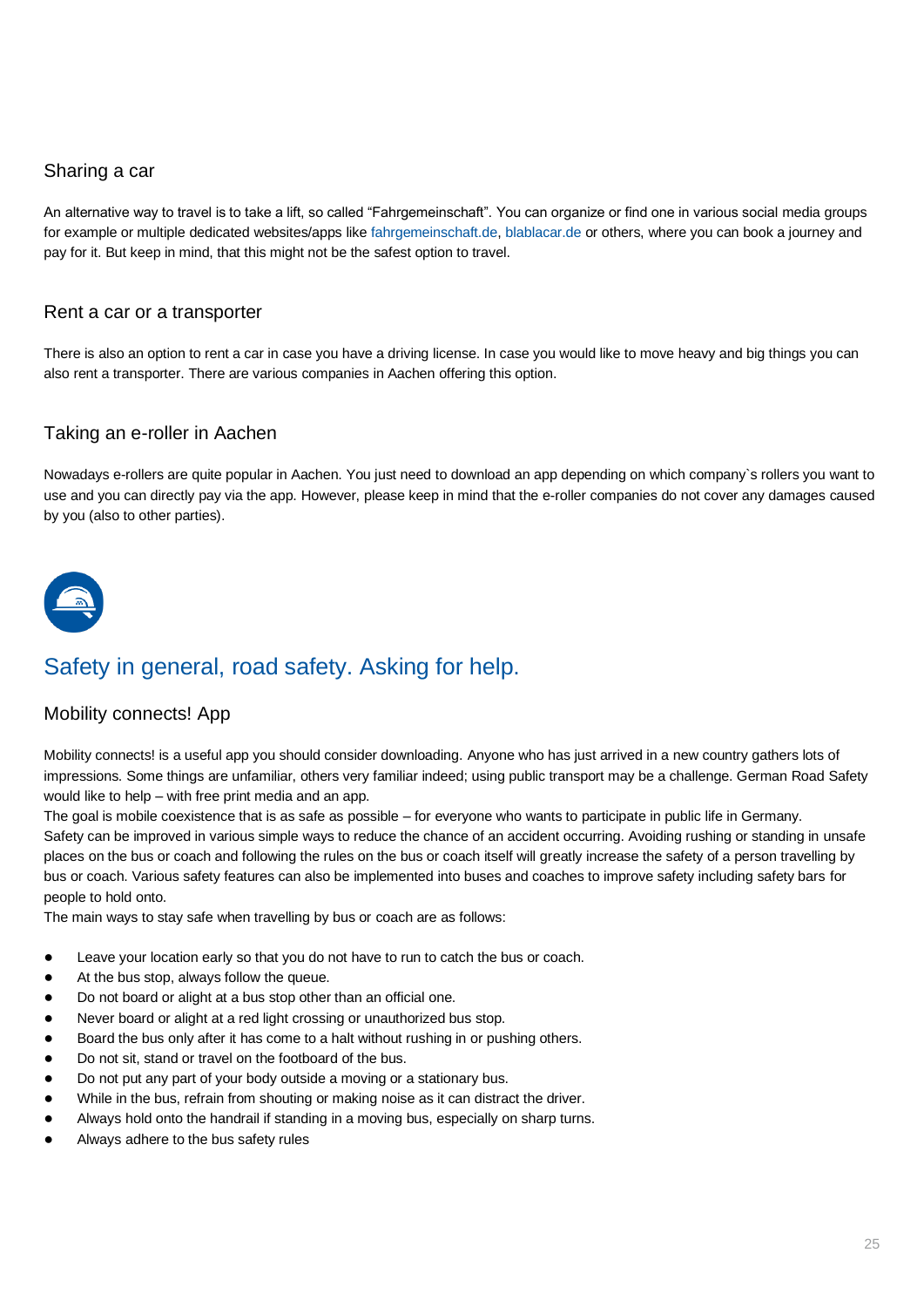## <span id="page-24-0"></span>Sharing a car

An alternative way to travel is to take a lift, so called "Fahrgemeinschaft". You can organize or find one in various social media groups for example or multiple dedicated websites/apps like [fahrgemeinschaft.de,](https://www.fahrgemeinschaft.de/mitfahren/aachen/) [blablacar.de](https://www.blablacar.de/) or others, where you can book a journey and pay for it. But keep in mind, that this might not be the safest option to travel.

## <span id="page-24-1"></span>Rent a car or a transporter

There is also an option to rent a car in case you have a driving license. In case you would like to move heavy and big things you can also rent a transporter. There are various companies in Aachen offering this option.

## <span id="page-24-2"></span>Taking an e-roller in Aachen

Nowadays e-rollers are quite popular in Aachen. You just need to download an app depending on which company`s rollers you want to use and you can directly pay via the app. However, please keep in mind that the e-roller companies do not cover any damages caused by you (also to other parties).



# <span id="page-24-3"></span>Safety in general, road safety. Asking for help.

## <span id="page-24-4"></span>Mobility connects! App

Mobility connects! is a useful app you should consider downloading. Anyone who has just arrived in a new country gathers lots of impressions. Some things are unfamiliar, others very familiar indeed; using public transport may be a challenge. German Road Safety would like to help – with free print media and an app.

The goal is mobile coexistence that is as safe as possible – for everyone who wants to participate in public life in Germany. Safety can be improved in various simple ways to reduce the chance of an accident occurring. Avoiding rushing or standing in unsafe places on the bus or coach and following the rules on the bus or coach itself will greatly increase the safety of a person travelling by bus or coach. Various safety features can also be implemented into buses and coaches to improve safety including safety bars for people to hold onto.

The main ways to stay safe when travelling by bus or coach are as follows:

- Leave your location early so that you do not have to run to catch the bus or coach.
- At the bus stop, always follow the queue.
- Do not board or alight at a bus stop other than an official one.
- Never board or alight at a red light crossing or unauthorized bus stop.
- Board the bus only after it has come to a halt without rushing in or pushing others.
- Do not sit, stand or travel on the footboard of the bus.
- Do not put any part of your body outside a moving or a stationary bus.
- While in the bus, refrain from shouting or making noise as it can distract the driver.
- Always hold onto the handrail if standing in a moving bus, especially on sharp turns.
- Always adhere to the bus safety rules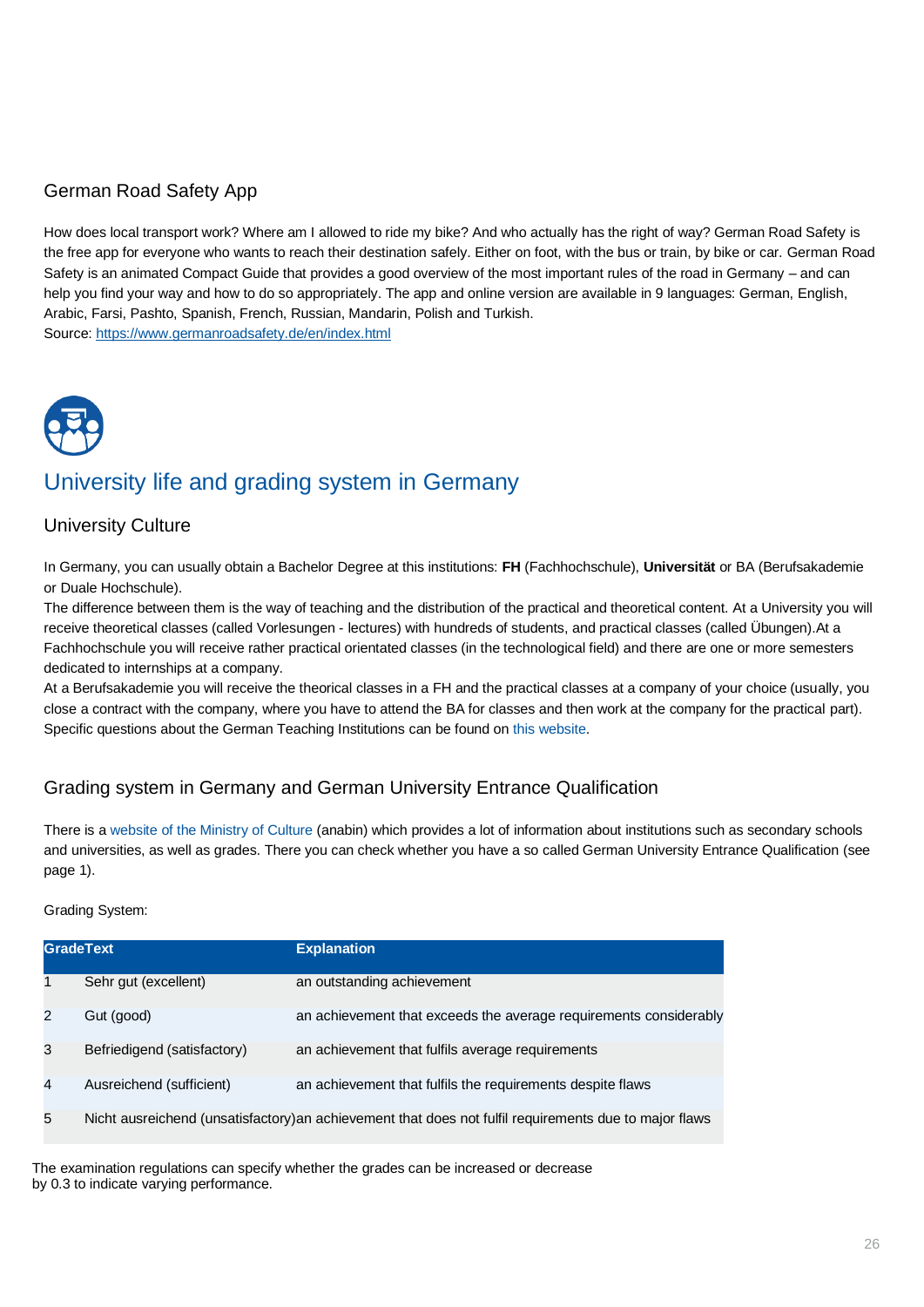# <span id="page-25-0"></span>German Road Safety App

How does local transport work? Where am I allowed to ride my bike? And who actually has the right of way? German Road Safety is the free app for everyone who wants to reach their destination safely. Either on foot, with the bus or train, by bike or car. German Road Safety is an animated Compact Guide that provides a good overview of the most important rules of the road in Germany – and can help you find your way and how to do so appropriately. The app and online version are available in 9 languages: German, English, Arabic, Farsi, Pashto, Spanish, French, Russian, Mandarin, Polish and Turkish. Source:<https://www.germanroadsafety.de/en/index.html>

# <span id="page-25-1"></span>University life and grading system in Germany

# <span id="page-25-2"></span>University Culture

In Germany, you can usually obtain a Bachelor Degree at this institutions: **FH** (Fachhochschule), **Universität** or BA (Berufsakademie or Duale Hochschule).

The difference between them is the way of teaching and the distribution of the practical and theoretical content. At a University you will receive theoretical classes (called Vorlesungen - lectures) with hundreds of students, and practical classes (called Übungen).At a Fachhochschule you will receive rather practical orientated classes (in the technological field) and there are one or more semesters dedicated to internships at a company.

At a Berufsakademie you will receive the theorical classes in a FH and the practical classes at a company of your choice (usually, you close a contract with the company, where you have to attend the BA for classes and then work at the company for the practical part). Specific questions about the German Teaching Institutions can be found o[n this website.](https://www.studis-online.de/StudInfo/hochschularten.php)

# <span id="page-25-3"></span>Grading system in Germany and German University Entrance Qualification

There is a [website of the Ministry of Culture](https://anabin.kmk.org/no_cache/filter/institutionen.html) (anabin) which provides a lot of information about institutions such as secondary schools and universities, as well as grades. There you can check whether you have a so called German University Entrance Qualification (see page 1).

#### Grading System:

|                | <b>GradeText</b>            | <b>Explanation</b>                                                                                     |
|----------------|-----------------------------|--------------------------------------------------------------------------------------------------------|
| 1              | Sehr gut (excellent)        | an outstanding achievement                                                                             |
| $\mathcal{P}$  | Gut (good)                  | an achievement that exceeds the average requirements considerably                                      |
| 3              | Befriedigend (satisfactory) | an achievement that fulfils average requirements                                                       |
| $\overline{4}$ | Ausreichend (sufficient)    | an achievement that fulfils the requirements despite flaws                                             |
| 5              |                             | Nicht ausreichend (unsatisfactory) an achievement that does not fulfil requirements due to major flaws |

The examination regulations can specify whether the grades can be increased or decrease by 0.3 to indicate varying performance.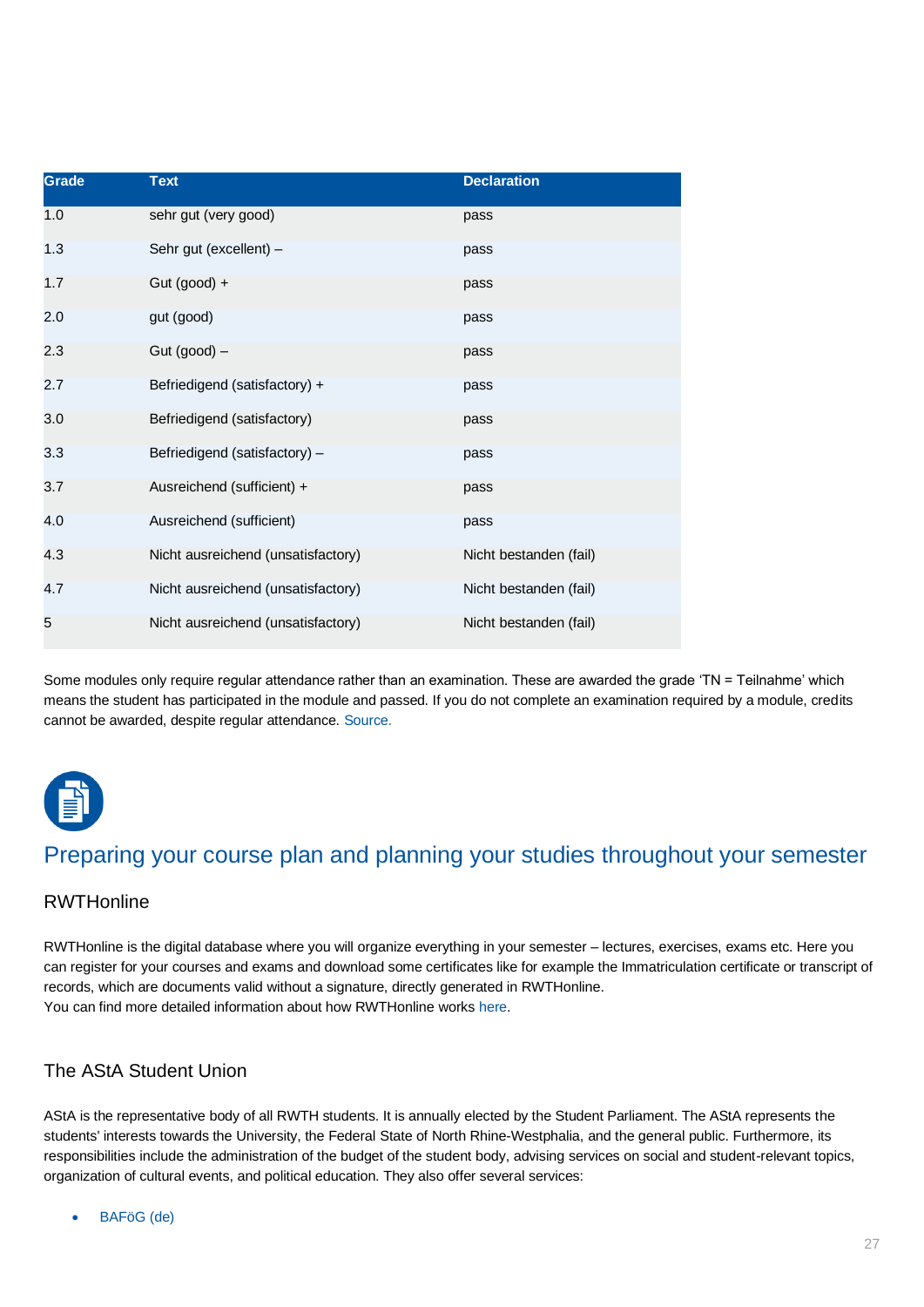| Grade | <b>Text</b>                        | <b>Declaration</b>     |
|-------|------------------------------------|------------------------|
| 1.0   | sehr gut (very good)               | pass                   |
| 1.3   | Sehr gut (excellent) -             | pass                   |
| 1.7   | Gut (good) +                       | pass                   |
| 2.0   | gut (good)                         | pass                   |
| 2.3   | Gut $(good)$ –                     | pass                   |
| 2.7   | Befriedigend (satisfactory) +      | pass                   |
| 3.0   | Befriedigend (satisfactory)        | pass                   |
| 3.3   | Befriedigend (satisfactory) -      | pass                   |
| 3.7   | Ausreichend (sufficient) +         | pass                   |
| 4.0   | Ausreichend (sufficient)           | pass                   |
| 4.3   | Nicht ausreichend (unsatisfactory) | Nicht bestanden (fail) |
| 4.7   | Nicht ausreichend (unsatisfactory) | Nicht bestanden (fail) |
| 5     | Nicht ausreichend (unsatisfactory) | Nicht bestanden (fail) |

Some modules only require regular attendance rather than an examination. These are awarded the grade 'TN = Teilnahme' which means the student has participated in the module and passed. If you do not complete an examination required by a module, credits cannot be awarded, despite regular attendance. [Source.](https://www.fau.eu/study/from-abroad/exchange-programme-placement/semester-abroad-at-fau/starting-your-studies/ects-and-german-university-grades/)



# <span id="page-26-0"></span>Preparing your course plan and planning your studies throughout your semester

## <span id="page-26-1"></span>**[RWTHonline](https://online.rwth-aachen.de/RWTHonline/ee/ui/ca2/app/desktop/#/login)**

RWTHonline is the digital database where you will organize everything in your semester – lectures, exercises, exams etc. Here you can register for your courses and exams and download some certificates like for example the Immatriculation certificate or transcript of records, which are documents valid without a signature, directly generated in RWTHonline. You can find more detailed information about how RWTHonline work[s here.](https://www.rwth-aachen.de/cms/root/Studium/Lehre/RWTHonline/~srio/Fragen-und-Antworten/?lidx=1)

# <span id="page-26-2"></span>[The AStA Student Union](https://www.asta.rwth-aachen.de/)

AStA is the representative body of all RWTH students. It is annually elected by the Student Parliament. The AStA represents the students' interests towards the University, the Federal State of North Rhine-Westphalia, and the general public. Furthermore, its responsibilities include the administration of the budget of the student body, advising services on social and student-relevant topics, organization of cultural events, and political education. They also offer several services:

• [BAFöG \(de\)](https://www.asta.rwth-aachen.de/de/bafoeg)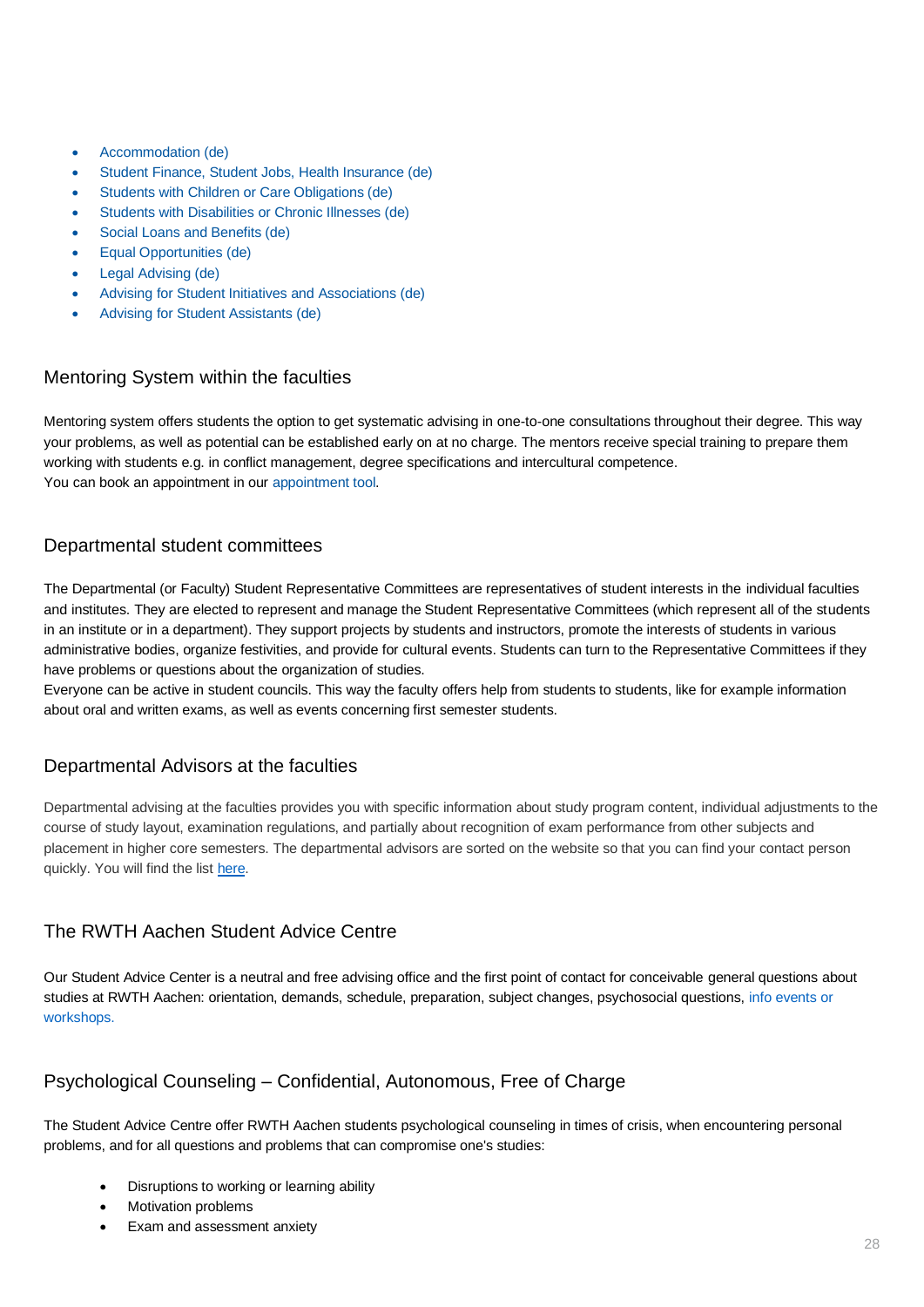- [Accommodation \(de\)](https://www.asta.rwth-aachen.de/de/wohnen)
- [Student Finance, Student Jobs, Health Insurance \(de\)](https://www.asta.rwth-aachen.de/de/studienfinanzierung)
- [Students with Children or Care Obligations \(de\)](https://www.asta.rwth-aachen.de/de/studieren_mit_kind)
- [Students with Disabilities or Chronic Illnesses \(de\)](http://www.rwth-aachen.de/go/id/eji)
- [Social Loans and Benefits \(de\)](https://www.asta.rwth-aachen.de/de/beratung)
- [Equal Opportunities \(de\)](https://www.asta.rwth-aachen.de/de/gleichstellung)
- [Legal Advising \(de\)](https://www.asta.rwth-aachen.de/de/rechtsberatung)
- [Advising for Student Initiatives and Associations \(de\)](https://www.asta.rwth-aachen.de/de/beratung)
- [Advising for Student Assistants \(de\)](http://www.asta.rwth-aachen.de/de/beauftragte-fuer-studentische-hilfskraefte)

## <span id="page-27-0"></span>Mentoring System [within the faculties](https://www.rwth-aachen.de/cms/root/Studium/Lehre/Exzellente-Lehre/Ziele-Kernbereiche/Kernbereich-Studierende/~cczs/Mentoringsysteme-Aachener-Mentoring-Modell/?lidx=1)

Mentoring system offers students the option to get systematic advising in one-to-one consultations throughout their degree. This way your problems, as well as potential can be established early on at no charge. The mentors receive special training to prepare them working with students e.g. in conflict management, degree specifications and intercultural competence. You can book an appointment in our [appointment tool.](https://sharepoint.ecampus.rwth-aachen.de/vo/Mentoring/Terminplaner/default.aspx#&panel1-1)

## <span id="page-27-1"></span>[Departmental student committees](http://www.rwth-aachen.de/cms/root/Studium/Beratung-Hilfe/~wrk/Fachschaften/?lidx=1)

The Departmental (or Faculty) Student Representative Committees are representatives of student interests in the individual faculties and institutes. They are elected to represent and manage the Student Representative Committees (which represent all of the students in an institute or in a department). They support projects by students and instructors, promote the interests of students in various administrative bodies, organize festivities, and provide for cultural events. Students can turn to the Representative Committees if they have problems or questions about the organization of studies.

Everyone can be active in student councils. This way the faculty offers help from students to students, like for example information about oral and written exams, as well as events concerning first semester students.

## <span id="page-27-2"></span>[Departmental Advisors at the faculties](https://www.rwth-aachen.de/cms/root/Studium/Beratung-Hilfe/~tmy/Fachstudienberatungen/lidx/1/)

Departmental advising at the faculties provides you with specific information about study program content, individual adjustments to the course of study layout, examination regulations, and partially about recognition of exam performance from other subjects and placement in higher core semesters. The departmental advisors are sorted on the website so that you can find your contact person quickly. You will find the list [here.](https://www.rwth-aachen.de/cms/root/Studium/Beratung-Hilfe/~tmy/Fachstudienberatungen/?lidx=1)

## <span id="page-27-3"></span>[The RWTH Aachen Student Advice Centre](http://www.rwth-aachen.de/cms/root/Studium/Beratung-Hilfe/~rcw/Beratung-und-Angebote-fuer-Studierende/?lidx=1)

Our Student Advice Center is a neutral and free advising office and the first point of contact for conceivable general questions about studies at RWTH Aachen: orientation, demands, schedule, preparation, subject changes, psychosocial questions, info [events](https://www.rwth-aachen.de/cms/root/Studium/Im-Studium/~dutqr/Studientrainings-Vortraege-Workshops-d/?lidx=1) or [workshops.](https://www.rwth-aachen.de/cms/root/Studium/Im-Studium/~dutqr/Studientrainings-Vortraege-Workshops-d/?lidx=1)

# <span id="page-27-4"></span>Psychological Counseling – [Confidential, Autonomous, Free of Charge](https://www.rwth-aachen.de/cms/root/Studium/Beratung-Hilfe/~sei/Psychologische-Beratung/?lidx=1)

The Student Advice Centre offer RWTH Aachen students psychological counseling in times of crisis, when encountering personal problems, and for all questions and problems that can compromise one's studies:

- Disruptions to working or learning ability
- Motivation problems
- Exam and assessment anxiety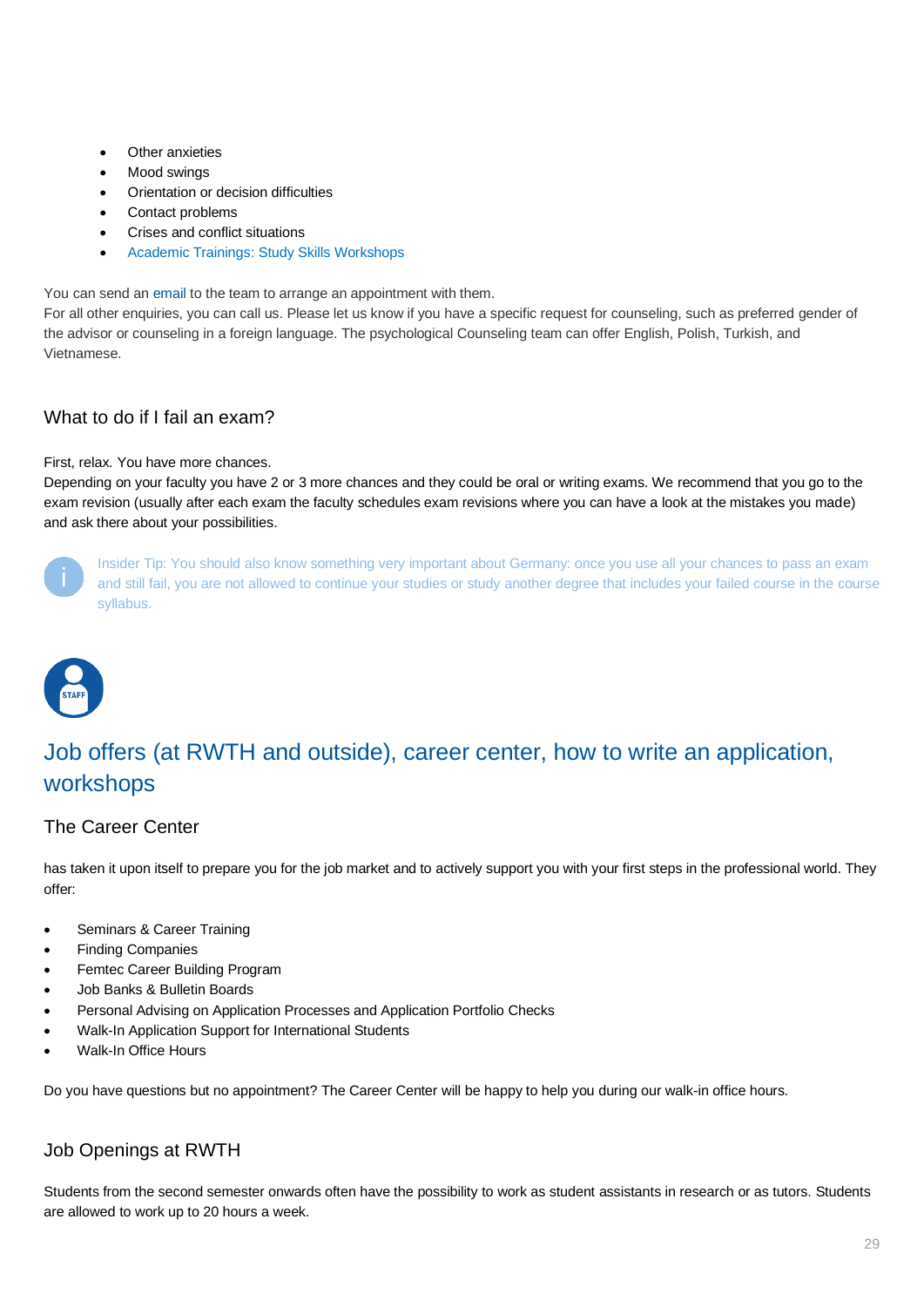- **Other anxieties**
- Mood swinas
- Orientation or decision difficulties
- Contact problems
- Crises and conflict situations
- [Academic Trainings: Study Skills Workshops](https://www.rwth-aachen.de/cms/root/Studium/Im-Studium/Studientrainings-Vortraege-Workshops-d/~rvz/Studientrainings/lidx/1/)

You can send an [email](mailto:Psych.Beratung@rwth-aachen.de) to the team to arrange an appointment with them.

For all other enquiries, you can call us. Please let us know if you have a specific request for counseling, such as preferred gender of the advisor or counseling in a foreign language. The psychological Counseling team can offer English, Polish, Turkish, and Vietnamese.

# <span id="page-28-0"></span>What to do if I fail an exam?

#### First, relax. You have more chances.

Depending on your faculty you have 2 or 3 more chances and they could be oral or writing exams. We recommend that you go to the exam revision (usually after each exam the faculty schedules exam revisions where you can have a look at the mistakes you made) and ask there about your possibilities.



Insider Tip: You should also know something very important about Germany: once you use all your chances to pass an exam and still fail, you are not allowed to continue your studies or study another degree that includes your failed course in the course syllabus.



# <span id="page-28-1"></span>Job offers (at RWTH and outside), career center, how to write an application, workshops

# <span id="page-28-2"></span>[The Career Center](http://www.rwth-aachen.de/cms/root/Studium/Nach-dem-Studium/~ejx/Karriere/lidx/1/)

has taken it upon itself to prepare you for the job market and to actively support you with your first steps in the professional world. They offer:

- Seminars & Career Training
- Finding Companies
- Femtec Career Building Program
- Job Banks & Bulletin Boards
- Personal Advising on Application Processes and Application Portfolio Checks
- Walk-In Application Support for International Students
- Walk-In Office Hours

Do you have questions but no appointment? The Career Center will be happy to help you during our walk-in office hours.

# <span id="page-28-3"></span>[Job Openings at RWTH](http://www.rwth-aachen.de/cms/root/Die-RWTH/Arbeiten-an-der-RWTH/~buym/Jobboerse/?aaaaaaaaaaaaanr=Wissenschaftliches%20Personal&page=3&lidx=1)

Students from the second semester onwards often have the possibility to work as student assistants in research or as tutors. Students are allowed to work up to 20 hours a week.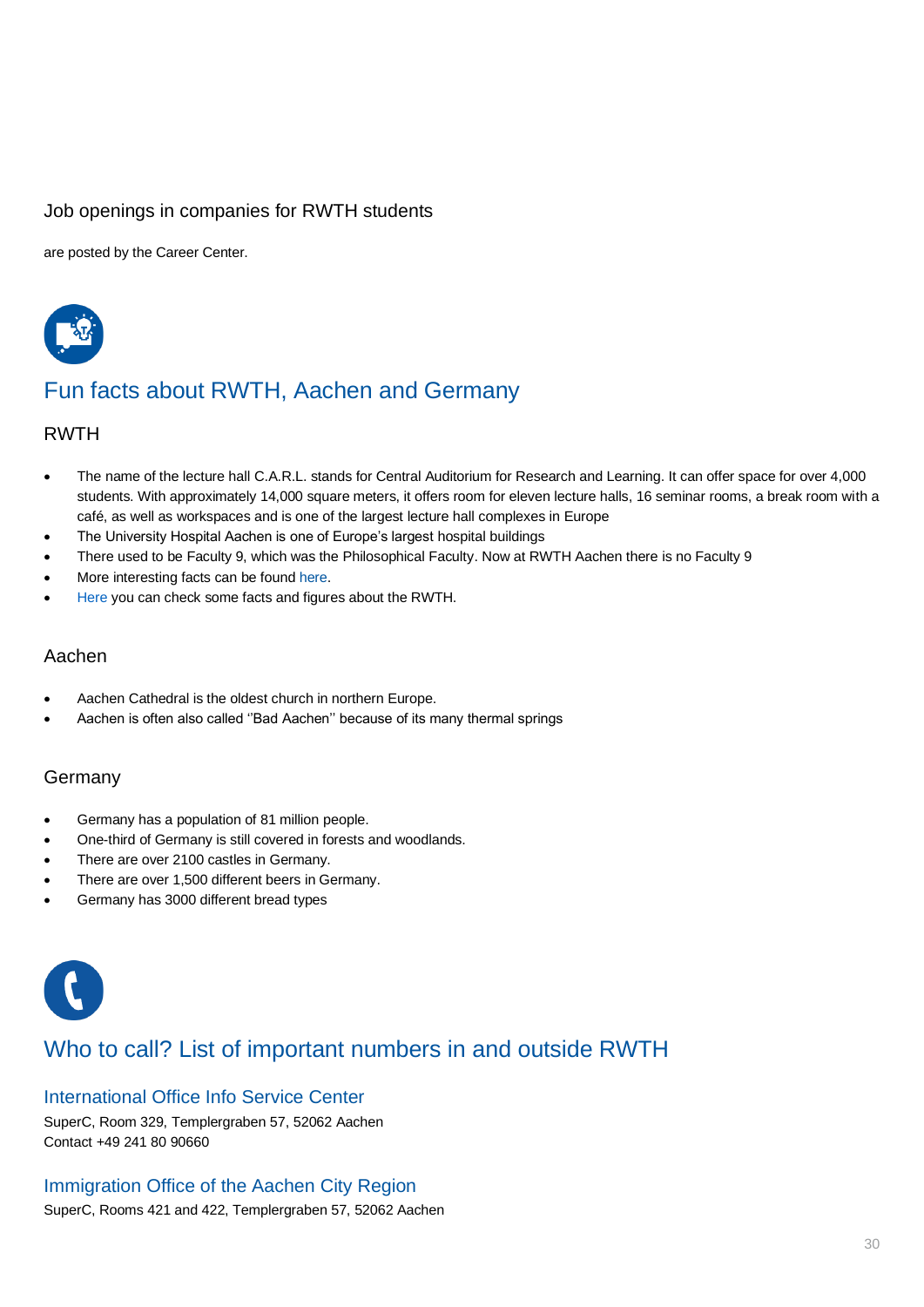# <span id="page-29-0"></span>[Job openings in companies](http://www.rwth-aachen.de/cms/root/Studium/Nach-dem-Studium/Karriere/~buvi/Stellenangebote-fuer-Studierende-der-RWT/) for RWTH students

are posted by the Career Center.



# <span id="page-29-1"></span>Fun facts about RWTH, Aachen and Germany

## <span id="page-29-2"></span>RWTH

- The name of the lecture hall C.A.R.L. stands for Central Auditorium for Research and Learning. It can offer space for over 4,000 students. With approximately 14,000 square meters, it offers room for eleven lecture halls, 16 seminar rooms, a break room with a café, as well as workspaces and is one of the largest lecture hall complexes in Europe
- The University Hospital Aachen is one of Europe's largest hospital buildings
- There used to be Faculty 9, which was the Philosophical Faculty. Now at RWTH Aachen there is no Faculty 9
- More interesting facts can be foun[d here.](https://www.rwth-aachen.de/cms/root/Die-RWTH/Arbeiten-an-der-RWTH/~eom/Wissenswertes/lidx/1/)
- [Here](https://www.rwth-aachen.de/cms/root/Die-RWTH/Profil/~enw/Daten-Fakten/lidx/1/) you can check some facts and figures about the RWTH.

## <span id="page-29-3"></span>Aachen

- Aachen Cathedral is the oldest church in northern Europe.
- Aachen is often also called ''Bad Aachen'' because of its many thermal springs

## <span id="page-29-4"></span>Germany

- Germany has a population of 81 million people.
- One-third of Germany is still covered in forests and woodlands.
- There are over 2100 castles in Germany.
- There are over 1,500 different beers in Germany.
- Germany has 3000 different bread types



# <span id="page-29-5"></span>Who to call? List of important numbers in and outside RWTH

# <span id="page-29-6"></span>[International Office Info Service Center](http://www.rwth-aachen.de/cms/root/Die-RWTH/Einrichtungen/Verwaltung/Dezernate/Internationale-Hochschulbeziehungen/Abteilung-2-2-Betreuung/~cgle/International-Office-Info-Service-Center/)

SuperC, Room 329, Templergraben 57, 52062 Aachen Contact +49 241 80 90660

# <span id="page-29-7"></span>[Immigration Office of the Aachen City Region](https://www.staedteregion-aachen.de/de/navigation/aemter/auslaenderamt-a-33/auslaendische-studierende-wissenschaftler-rwth-fh/)

SuperC, Rooms 421 and 422, Templergraben 57, 52062 Aachen